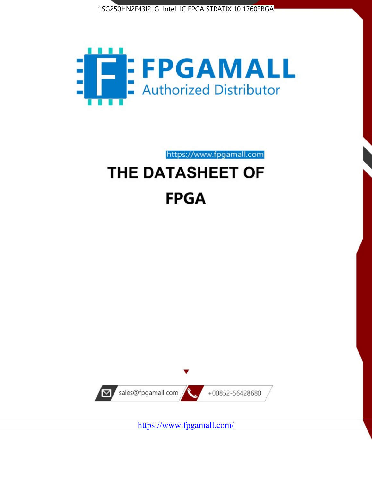



https://www.fpgamall.com

# THE DATASHEET OF **FPGA**



<https://www.fpgamall.com/>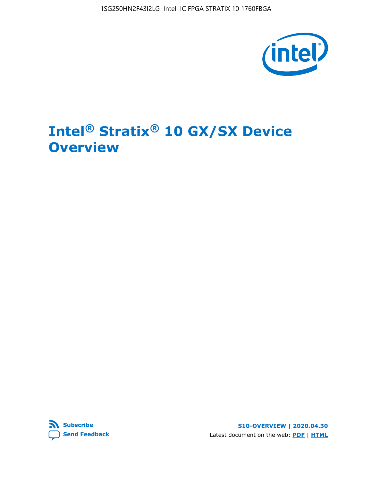1SG250HN2F43I2LG Intel IC FPGA STRATIX 10 1760FBGA



# **Intel® Stratix® 10 GX/SX Device Overview**



**S10-OVERVIEW | 2020.04.30** Latest document on the web: **[PDF](https://www.intel.com/content/dam/www/programmable/us/en/pdfs/literature/hb/stratix-10/s10-overview.pdf)** | **[HTML](https://www.intel.com/content/www/us/en/programmable/documentation/joc1442261161666.html)**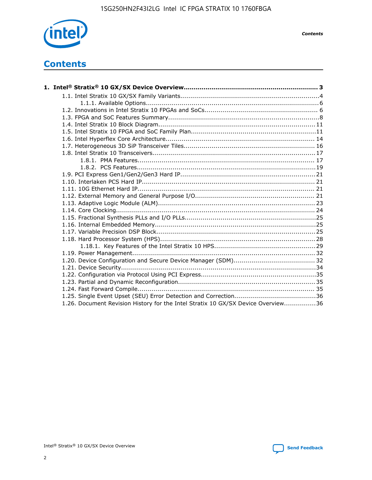

*Contents*

# **Contents**

| 1.26. Document Revision History for the Intel Stratix 10 GX/SX Device Overview36 |  |
|----------------------------------------------------------------------------------|--|

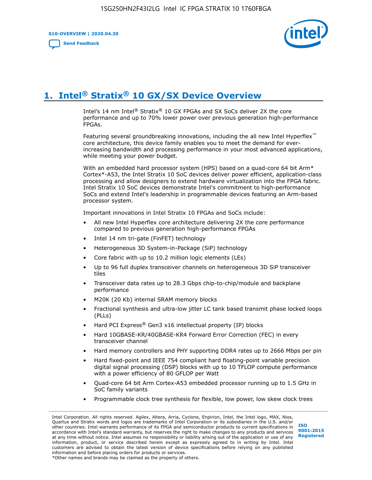**S10-OVERVIEW | 2020.04.30**

**[Send Feedback](mailto:FPGAtechdocfeedback@intel.com?subject=Feedback%20on%20Intel%20Stratix%2010%20GX/SX%20Device%20Overview%20(S10-OVERVIEW%202020.04.30)&body=We%20appreciate%20your%20feedback.%20In%20your%20comments,%20also%20specify%20the%20page%20number%20or%20paragraph.%20Thank%20you.)**



# **1. Intel® Stratix® 10 GX/SX Device Overview**

Intel's 14 nm Intel® Stratix® 10 GX FPGAs and SX SoCs deliver 2X the core performance and up to 70% lower power over previous generation high-performance FPGAs.

Featuring several groundbreaking innovations, including the all new Intel Hyperflex™ core architecture, this device family enables you to meet the demand for everincreasing bandwidth and processing performance in your most advanced applications, while meeting your power budget.

With an embedded hard processor system (HPS) based on a quad-core 64 bit Arm\* Cortex\*-A53, the Intel Stratix 10 SoC devices deliver power efficient, application-class processing and allow designers to extend hardware virtualization into the FPGA fabric. Intel Stratix 10 SoC devices demonstrate Intel's commitment to high-performance SoCs and extend Intel's leadership in programmable devices featuring an Arm-based processor system.

Important innovations in Intel Stratix 10 FPGAs and SoCs include:

- All new Intel Hyperflex core architecture delivering 2X the core performance compared to previous generation high-performance FPGAs
- Intel 14 nm tri-gate (FinFET) technology
- Heterogeneous 3D System-in-Package (SiP) technology
- Core fabric with up to 10.2 million logic elements (LEs)
- Up to 96 full duplex transceiver channels on heterogeneous 3D SiP transceiver tiles
- Transceiver data rates up to 28.3 Gbps chip-to-chip/module and backplane performance
- M20K (20 Kb) internal SRAM memory blocks
- Fractional synthesis and ultra-low jitter LC tank based transmit phase locked loops (PLLs)
- Hard PCI Express<sup>®</sup> Gen3 x16 intellectual property (IP) blocks
- Hard 10GBASE-KR/40GBASE-KR4 Forward Error Correction (FEC) in every transceiver channel
- Hard memory controllers and PHY supporting DDR4 rates up to 2666 Mbps per pin
- Hard fixed-point and IEEE 754 compliant hard floating-point variable precision digital signal processing (DSP) blocks with up to 10 TFLOP compute performance with a power efficiency of 80 GFLOP per Watt
- Quad-core 64 bit Arm Cortex-A53 embedded processor running up to 1.5 GHz in SoC family variants
- Programmable clock tree synthesis for flexible, low power, low skew clock trees

Intel Corporation. All rights reserved. Agilex, Altera, Arria, Cyclone, Enpirion, Intel, the Intel logo, MAX, Nios, Quartus and Stratix words and logos are trademarks of Intel Corporation or its subsidiaries in the U.S. and/or other countries. Intel warrants performance of its FPGA and semiconductor products to current specifications in accordance with Intel's standard warranty, but reserves the right to make changes to any products and services at any time without notice. Intel assumes no responsibility or liability arising out of the application or use of any information, product, or service described herein except as expressly agreed to in writing by Intel. Intel customers are advised to obtain the latest version of device specifications before relying on any published information and before placing orders for products or services. \*Other names and brands may be claimed as the property of others.

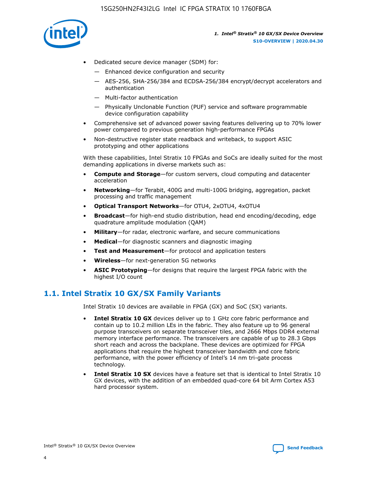

- Dedicated secure device manager (SDM) for:
	- Enhanced device configuration and security
	- AES-256, SHA-256/384 and ECDSA-256/384 encrypt/decrypt accelerators and authentication
	- Multi-factor authentication
	- Physically Unclonable Function (PUF) service and software programmable device configuration capability
- Comprehensive set of advanced power saving features delivering up to 70% lower power compared to previous generation high-performance FPGAs
- Non-destructive register state readback and writeback, to support ASIC prototyping and other applications

With these capabilities, Intel Stratix 10 FPGAs and SoCs are ideally suited for the most demanding applications in diverse markets such as:

- **Compute and Storage**—for custom servers, cloud computing and datacenter acceleration
- **Networking**—for Terabit, 400G and multi-100G bridging, aggregation, packet processing and traffic management
- **Optical Transport Networks**—for OTU4, 2xOTU4, 4xOTU4
- **Broadcast**—for high-end studio distribution, head end encoding/decoding, edge quadrature amplitude modulation (QAM)
- **Military**—for radar, electronic warfare, and secure communications
- **Medical**—for diagnostic scanners and diagnostic imaging
- **Test and Measurement**—for protocol and application testers
- **Wireless**—for next-generation 5G networks
- **ASIC Prototyping**—for designs that require the largest FPGA fabric with the highest I/O count

# **1.1. Intel Stratix 10 GX/SX Family Variants**

Intel Stratix 10 devices are available in FPGA (GX) and SoC (SX) variants.

- **Intel Stratix 10 GX** devices deliver up to 1 GHz core fabric performance and contain up to 10.2 million LEs in the fabric. They also feature up to 96 general purpose transceivers on separate transceiver tiles, and 2666 Mbps DDR4 external memory interface performance. The transceivers are capable of up to 28.3 Gbps short reach and across the backplane. These devices are optimized for FPGA applications that require the highest transceiver bandwidth and core fabric performance, with the power efficiency of Intel's 14 nm tri-gate process technology.
- **Intel Stratix 10 SX** devices have a feature set that is identical to Intel Stratix 10 GX devices, with the addition of an embedded quad-core 64 bit Arm Cortex A53 hard processor system.

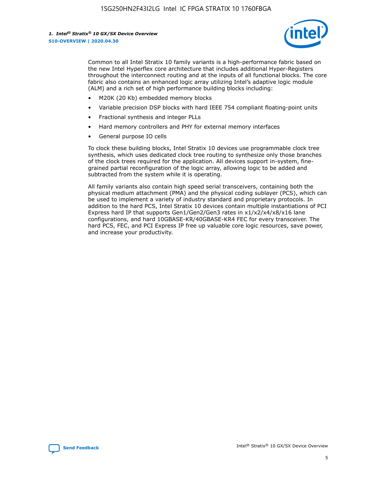

Common to all Intel Stratix 10 family variants is a high-performance fabric based on the new Intel Hyperflex core architecture that includes additional Hyper-Registers throughout the interconnect routing and at the inputs of all functional blocks. The core fabric also contains an enhanced logic array utilizing Intel's adaptive logic module (ALM) and a rich set of high performance building blocks including:

- M20K (20 Kb) embedded memory blocks
- Variable precision DSP blocks with hard IEEE 754 compliant floating-point units
- Fractional synthesis and integer PLLs
- Hard memory controllers and PHY for external memory interfaces
- General purpose IO cells

To clock these building blocks, Intel Stratix 10 devices use programmable clock tree synthesis, which uses dedicated clock tree routing to synthesize only those branches of the clock trees required for the application. All devices support in-system, finegrained partial reconfiguration of the logic array, allowing logic to be added and subtracted from the system while it is operating.

All family variants also contain high speed serial transceivers, containing both the physical medium attachment (PMA) and the physical coding sublayer (PCS), which can be used to implement a variety of industry standard and proprietary protocols. In addition to the hard PCS, Intel Stratix 10 devices contain multiple instantiations of PCI Express hard IP that supports Gen1/Gen2/Gen3 rates in x1/x2/x4/x8/x16 lane configurations, and hard 10GBASE-KR/40GBASE-KR4 FEC for every transceiver. The hard PCS, FEC, and PCI Express IP free up valuable core logic resources, save power, and increase your productivity.

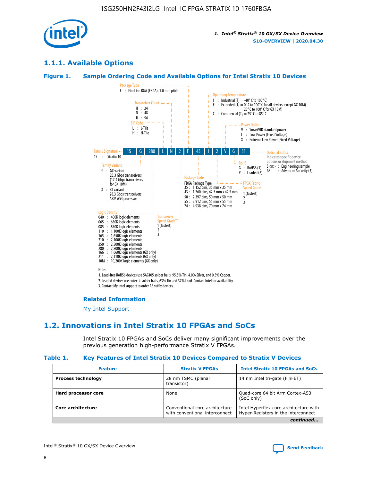

# **1.1.1. Available Options**

#### **Figure 1. Sample Ordering Code and Available Options for Intel Stratix 10 Devices**



# **Related Information**

[My Intel Support](https://www.intel.com/content/www/us/en/programmable/my-intel/mal-home.html)

# **1.2. Innovations in Intel Stratix 10 FPGAs and SoCs**

Intel Stratix 10 FPGAs and SoCs deliver many significant improvements over the previous generation high-performance Stratix V FPGAs.

#### **Table 1. Key Features of Intel Stratix 10 Devices Compared to Stratix V Devices**

| <b>Feature</b>            | <b>Stratix V FPGAs</b>                                           | <b>Intel Stratix 10 FPGAs and SoCs</b>                                        |  |
|---------------------------|------------------------------------------------------------------|-------------------------------------------------------------------------------|--|
| <b>Process technology</b> | 28 nm TSMC (planar<br>transistor)                                | 14 nm Intel tri-gate (FinFET)                                                 |  |
| Hard processor core       | None                                                             | Quad-core 64 bit Arm Cortex-A53<br>(SoC only)                                 |  |
| Core architecture         | Conventional core architecture<br>with conventional interconnect | Intel Hyperflex core architecture with<br>Hyper-Registers in the interconnect |  |
|                           |                                                                  | continued                                                                     |  |

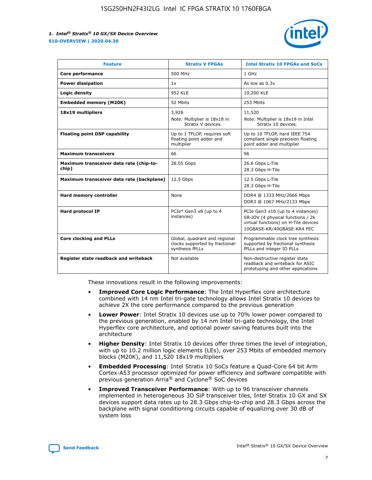

| <b>Feature</b>                                   | <b>Stratix V FPGAs</b>                                                              | <b>Intel Stratix 10 FPGAs and SoCs</b>                                                                                                       |
|--------------------------------------------------|-------------------------------------------------------------------------------------|----------------------------------------------------------------------------------------------------------------------------------------------|
| Core performance                                 | 500 MHz                                                                             | 1 GHz                                                                                                                                        |
| <b>Power dissipation</b>                         | 1x                                                                                  | As low as $0.3x$                                                                                                                             |
| Logic density                                    | 952 KLE                                                                             | 10,200 KLE                                                                                                                                   |
| <b>Embedded memory (M20K)</b>                    | 52 Mbits                                                                            | 253 Mbits                                                                                                                                    |
| 18x19 multipliers                                | 3,926                                                                               | 11,520                                                                                                                                       |
|                                                  | Note: Multiplier is 18x18 in<br>Stratix V devices.                                  | Note: Multiplier is 18x19 in Intel<br>Stratix 10 devices.                                                                                    |
| <b>Floating point DSP capability</b>             | Up to 1 TFLOP, requires soft<br>floating point adder and<br>multiplier              | Up to 10 TFLOP, hard IEEE 754<br>compliant single precision floating<br>point adder and multiplier                                           |
| <b>Maximum transceivers</b>                      | 66                                                                                  | 96                                                                                                                                           |
| Maximum transceiver data rate (chip-to-<br>chip) | 28.05 Gbps                                                                          | 26.6 Gbps L-Tile<br>28.3 Gbps H-Tile                                                                                                         |
| Maximum transceiver data rate (backplane)        | 12.5 Gbps                                                                           | 12.5 Gbps L-Tile<br>28.3 Gbps H-Tile                                                                                                         |
| Hard memory controller                           | None                                                                                | DDR4 @ 1333 MHz/2666 Mbps<br>DDR3 @ 1067 MHz/2133 Mbps                                                                                       |
| <b>Hard protocol IP</b>                          | PCIe* Gen3 x8 (up to 4<br>instances)                                                | PCIe Gen3 x16 (up to 4 instances)<br>SR-IOV (4 physical functions / 2k<br>virtual functions) on H-Tile devices<br>10GBASE-KR/40GBASE-KR4 FEC |
| <b>Core clocking and PLLs</b>                    | Global, quadrant and regional<br>clocks supported by fractional-<br>synthesis fPLLs | Programmable clock tree synthesis<br>supported by fractional synthesis<br>fPLLs and integer IO PLLs                                          |
| Register state readback and writeback            | Not available                                                                       | Non-destructive register state<br>readback and writeback for ASIC<br>prototyping and other applications                                      |

These innovations result in the following improvements:

- **Improved Core Logic Performance**: The Intel Hyperflex core architecture combined with 14 nm Intel tri-gate technology allows Intel Stratix 10 devices to achieve 2X the core performance compared to the previous generation
- **Lower Power**: Intel Stratix 10 devices use up to 70% lower power compared to the previous generation, enabled by 14 nm Intel tri-gate technology, the Intel Hyperflex core architecture, and optional power saving features built into the architecture
- **Higher Density**: Intel Stratix 10 devices offer three times the level of integration, with up to 10.2 million logic elements (LEs), over 253 Mbits of embedded memory blocks (M20K), and 11,520 18x19 multipliers
- **Embedded Processing**: Intel Stratix 10 SoCs feature a Quad-Core 64 bit Arm Cortex-A53 processor optimized for power efficiency and software compatible with previous generation Arria® and Cyclone® SoC devices
- **Improved Transceiver Performance**: With up to 96 transceiver channels implemented in heterogeneous 3D SiP transceiver tiles, Intel Stratix 10 GX and SX devices support data rates up to 28.3 Gbps chip-to-chip and 28.3 Gbps across the backplane with signal conditioning circuits capable of equalizing over 30 dB of system loss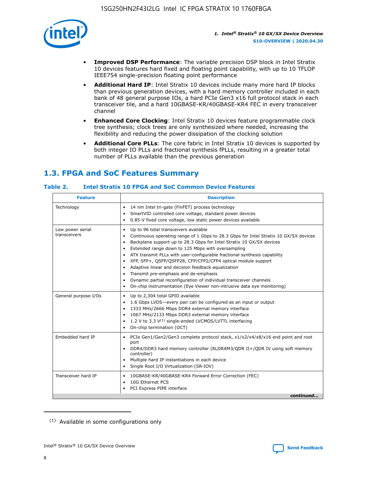

- **Improved DSP Performance**: The variable precision DSP block in Intel Stratix 10 devices features hard fixed and floating point capability, with up to 10 TFLOP IEEE754 single-precision floating point performance
- **Additional Hard IP**: Intel Stratix 10 devices include many more hard IP blocks than previous generation devices, with a hard memory controller included in each bank of 48 general purpose IOs, a hard PCIe Gen3 x16 full protocol stack in each transceiver tile, and a hard 10GBASE-KR/40GBASE-KR4 FEC in every transceiver channel
- **Enhanced Core Clocking**: Intel Stratix 10 devices feature programmable clock tree synthesis; clock trees are only synthesized where needed, increasing the flexibility and reducing the power dissipation of the clocking solution
- **Additional Core PLLs**: The core fabric in Intel Stratix 10 devices is supported by both integer IO PLLs and fractional synthesis fPLLs, resulting in a greater total number of PLLs available than the previous generation

# **1.3. FPGA and SoC Features Summary**

#### **Table 2. Intel Stratix 10 FPGA and SoC Common Device Features**

| <b>Feature</b>                   | <b>Description</b>                                                                                                                                                                                                                                                                                                                                                                                                                                                                                                                                                                                                                                                                                                                                   |
|----------------------------------|------------------------------------------------------------------------------------------------------------------------------------------------------------------------------------------------------------------------------------------------------------------------------------------------------------------------------------------------------------------------------------------------------------------------------------------------------------------------------------------------------------------------------------------------------------------------------------------------------------------------------------------------------------------------------------------------------------------------------------------------------|
| Technology                       | 14 nm Intel tri-gate (FinFET) process technology<br>٠<br>SmartVID controlled core voltage, standard power devices<br>0.85-V fixed core voltage, low static power devices available                                                                                                                                                                                                                                                                                                                                                                                                                                                                                                                                                                   |
| Low power serial<br>transceivers | Up to 96 total transceivers available<br>$\bullet$<br>Continuous operating range of 1 Gbps to 28.3 Gbps for Intel Stratix 10 GX/SX devices<br>$\bullet$<br>Backplane support up to 28.3 Gbps for Intel Stratix 10 GX/SX devices<br>$\bullet$<br>Extended range down to 125 Mbps with oversampling<br>$\bullet$<br>ATX transmit PLLs with user-configurable fractional synthesis capability<br>$\bullet$<br>• XFP, SFP+, OSFP/OSFP28, CFP/CFP2/CFP4 optical module support<br>• Adaptive linear and decision feedback equalization<br>Transmit pre-emphasis and de-emphasis<br>Dynamic partial reconfiguration of individual transceiver channels<br>$\bullet$<br>On-chip instrumentation (Eye Viewer non-intrusive data eye monitoring)<br>$\bullet$ |
| General purpose I/Os             | Up to 2,304 total GPIO available<br>$\bullet$<br>1.6 Gbps LVDS-every pair can be configured as an input or output<br>$\bullet$<br>1333 MHz/2666 Mbps DDR4 external memory interface<br>1067 MHz/2133 Mbps DDR3 external memory interface<br>1.2 V to 3.3 $V^{(1)}$ single-ended LVCMOS/LVTTL interfacing<br>$\bullet$<br>On-chip termination (OCT)<br>$\bullet$                                                                                                                                                                                                                                                                                                                                                                                      |
| Embedded hard IP                 | • PCIe Gen1/Gen2/Gen3 complete protocol stack, $x1/x2/x4/x8/x16$ end point and root<br>port<br>DDR4/DDR3 hard memory controller (RLDRAM3/QDR II+/QDR IV using soft memory<br>controller)<br>Multiple hard IP instantiations in each device<br>$\bullet$<br>• Single Root I/O Virtualization (SR-IOV)                                                                                                                                                                                                                                                                                                                                                                                                                                                 |
| Transceiver hard IP              | 10GBASE-KR/40GBASE-KR4 Forward Error Correction (FEC)<br>$\bullet$<br>10G Ethernet PCS<br>$\bullet$<br>• PCI Express PIPE interface<br>continued                                                                                                                                                                                                                                                                                                                                                                                                                                                                                                                                                                                                     |

<sup>(1)</sup> Available in some configurations only

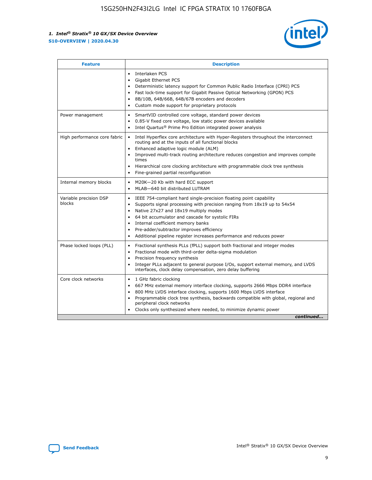

| <b>Feature</b>                   | <b>Description</b>                                                                                                                                                                                                                                                                                                                                                                                                                                                    |
|----------------------------------|-----------------------------------------------------------------------------------------------------------------------------------------------------------------------------------------------------------------------------------------------------------------------------------------------------------------------------------------------------------------------------------------------------------------------------------------------------------------------|
|                                  | Interlaken PCS<br>$\bullet$<br>Gigabit Ethernet PCS<br>$\bullet$<br>Deterministic latency support for Common Public Radio Interface (CPRI) PCS<br>$\bullet$<br>Fast lock-time support for Gigabit Passive Optical Networking (GPON) PCS<br>$\bullet$<br>8B/10B, 64B/66B, 64B/67B encoders and decoders<br>Custom mode support for proprietary protocols                                                                                                               |
| Power management                 | SmartVID controlled core voltage, standard power devices<br>$\bullet$<br>0.85-V fixed core voltage, low static power devices available<br>$\bullet$<br>Intel Quartus <sup>®</sup> Prime Pro Edition integrated power analysis<br>$\bullet$                                                                                                                                                                                                                            |
| High performance core fabric     | Intel Hyperflex core architecture with Hyper-Registers throughout the interconnect<br>routing and at the inputs of all functional blocks<br>Enhanced adaptive logic module (ALM)<br>$\bullet$<br>Improved multi-track routing architecture reduces congestion and improves compile<br>times<br>Hierarchical core clocking architecture with programmable clock tree synthesis<br>$\bullet$<br>Fine-grained partial reconfiguration                                    |
| Internal memory blocks           | M20K-20 Kb with hard ECC support<br>$\bullet$<br>MLAB-640 bit distributed LUTRAM<br>$\bullet$                                                                                                                                                                                                                                                                                                                                                                         |
| Variable precision DSP<br>blocks | IEEE 754-compliant hard single-precision floating point capability<br>$\bullet$<br>Supports signal processing with precision ranging from 18x19 up to 54x54<br>$\bullet$<br>Native 27x27 and 18x19 multiply modes<br>$\bullet$<br>64 bit accumulator and cascade for systolic FIRs<br>Internal coefficient memory banks<br>Pre-adder/subtractor improves efficiency<br>$\bullet$<br>Additional pipeline register increases performance and reduces power<br>$\bullet$ |
| Phase locked loops (PLL)         | Fractional synthesis PLLs (fPLL) support both fractional and integer modes<br>$\bullet$<br>Fractional mode with third-order delta-sigma modulation<br>Precision frequency synthesis<br>$\bullet$<br>Integer PLLs adjacent to general purpose I/Os, support external memory, and LVDS<br>$\bullet$<br>interfaces, clock delay compensation, zero delay buffering                                                                                                       |
| Core clock networks              | 1 GHz fabric clocking<br>$\bullet$<br>667 MHz external memory interface clocking, supports 2666 Mbps DDR4 interface<br>٠<br>800 MHz LVDS interface clocking, supports 1600 Mbps LVDS interface<br>$\bullet$<br>Programmable clock tree synthesis, backwards compatible with global, regional and<br>$\bullet$<br>peripheral clock networks<br>Clocks only synthesized where needed, to minimize dynamic power<br>continued                                            |

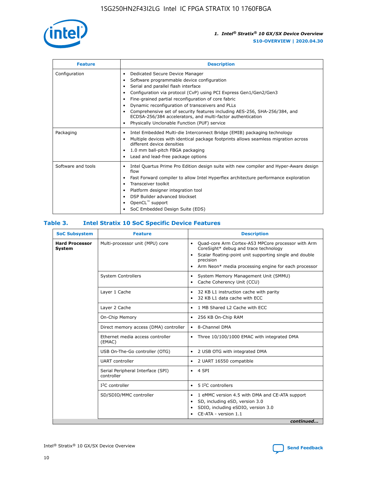

| <b>Feature</b>     | <b>Description</b>                                                                                                                                                                                                                                                                                                                                                                                                                                                                                                                         |
|--------------------|--------------------------------------------------------------------------------------------------------------------------------------------------------------------------------------------------------------------------------------------------------------------------------------------------------------------------------------------------------------------------------------------------------------------------------------------------------------------------------------------------------------------------------------------|
| Configuration      | Dedicated Secure Device Manager<br>٠<br>Software programmable device configuration<br>Serial and parallel flash interface<br>Configuration via protocol (CvP) using PCI Express Gen1/Gen2/Gen3<br>٠<br>Fine-grained partial reconfiguration of core fabric<br>٠<br>Dynamic reconfiguration of transceivers and PLLs<br>$\bullet$<br>Comprehensive set of security features including AES-256, SHA-256/384, and<br>ECDSA-256/384 accelerators, and multi-factor authentication<br>Physically Unclonable Function (PUF) service<br>$\bullet$ |
| Packaging          | Intel Embedded Multi-die Interconnect Bridge (EMIB) packaging technology<br>٠<br>Multiple devices with identical package footprints allows seamless migration across<br>$\bullet$<br>different device densities<br>1.0 mm ball-pitch FBGA packaging<br>$\bullet$<br>Lead and lead-free package options                                                                                                                                                                                                                                     |
| Software and tools | Intel Quartus Prime Pro Edition design suite with new compiler and Hyper-Aware design<br>$\bullet$<br>flow<br>Fast Forward compiler to allow Intel Hyperflex architecture performance exploration<br>$\bullet$<br>Transceiver toolkit<br>$\bullet$<br>Platform designer integration tool<br>DSP Builder advanced blockset<br>OpenCL <sup>™</sup> support<br>SoC Embedded Design Suite (EDS)                                                                                                                                                |

#### **Table 3. Intel Stratix 10 SoC Specific Device Features**

| <b>SoC Subsystem</b>            | <b>Feature</b>                                  | <b>Description</b>                                                                                                                                                                                                                                                 |  |
|---------------------------------|-------------------------------------------------|--------------------------------------------------------------------------------------------------------------------------------------------------------------------------------------------------------------------------------------------------------------------|--|
| <b>Hard Processor</b><br>System | Multi-processor unit (MPU) core                 | Quad-core Arm Cortex-A53 MPCore processor with Arm<br>$\bullet$<br>CoreSight* debug and trace technology<br>Scalar floating-point unit supporting single and double<br>$\bullet$<br>precision<br>Arm Neon* media processing engine for each processor<br>$\bullet$ |  |
|                                 | <b>System Controllers</b>                       | System Memory Management Unit (SMMU)<br>$\bullet$<br>Cache Coherency Unit (CCU)<br>$\bullet$                                                                                                                                                                       |  |
|                                 | Layer 1 Cache                                   | 32 KB L1 instruction cache with parity<br>$\bullet$<br>32 KB L1 data cache with ECC<br>$\bullet$                                                                                                                                                                   |  |
|                                 | Layer 2 Cache                                   | 1 MB Shared L2 Cache with ECC<br>$\bullet$                                                                                                                                                                                                                         |  |
|                                 | On-Chip Memory                                  | 256 KB On-Chip RAM<br>٠                                                                                                                                                                                                                                            |  |
|                                 | Direct memory access (DMA) controller           | 8-Channel DMA<br>$\bullet$                                                                                                                                                                                                                                         |  |
|                                 | Ethernet media access controller<br>(EMAC)      | Three 10/100/1000 EMAC with integrated DMA<br>$\bullet$                                                                                                                                                                                                            |  |
|                                 | USB On-The-Go controller (OTG)                  | 2 USB OTG with integrated DMA<br>$\bullet$                                                                                                                                                                                                                         |  |
|                                 | <b>UART</b> controller                          | 2 UART 16550 compatible<br>$\bullet$                                                                                                                                                                                                                               |  |
|                                 | Serial Peripheral Interface (SPI)<br>controller | 4 SPI<br>$\bullet$                                                                                                                                                                                                                                                 |  |
|                                 | $I2C$ controller                                | 5 I <sup>2</sup> C controllers<br>$\bullet$                                                                                                                                                                                                                        |  |
|                                 | SD/SDIO/MMC controller                          | 1 eMMC version 4.5 with DMA and CE-ATA support<br>$\bullet$<br>SD, including eSD, version 3.0<br>$\bullet$<br>SDIO, including eSDIO, version 3.0<br>$\bullet$<br>CE-ATA - version 1.1                                                                              |  |
|                                 |                                                 | continued                                                                                                                                                                                                                                                          |  |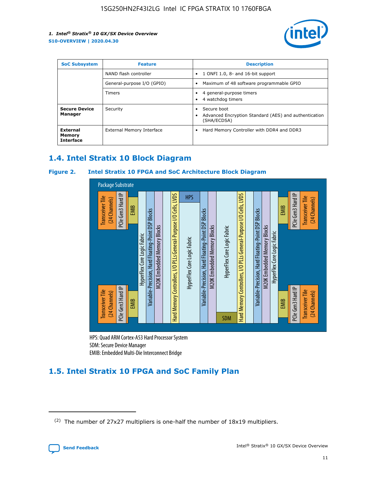

| <b>SoC Subsystem</b>                   | <b>Feature</b>             | <b>Description</b>                                                                               |  |  |
|----------------------------------------|----------------------------|--------------------------------------------------------------------------------------------------|--|--|
|                                        | NAND flash controller      | 1 ONFI 1.0, 8- and 16-bit support<br>٠                                                           |  |  |
|                                        | General-purpose I/O (GPIO) | Maximum of 48 software programmable GPIO<br>٠                                                    |  |  |
|                                        | Timers                     | 4 general-purpose timers<br>4 watchdog timers                                                    |  |  |
| <b>Secure Device</b><br>Manager        | Security                   | Secure boot<br>$\bullet$<br>Advanced Encryption Standard (AES) and authentication<br>(SHA/ECDSA) |  |  |
| External<br>Memory<br><b>Interface</b> | External Memory Interface  | Hard Memory Controller with DDR4 and DDR3<br>$\bullet$                                           |  |  |

# **1.4. Intel Stratix 10 Block Diagram**

#### **Figure 2. Intel Stratix 10 FPGA and SoC Architecture Block Diagram**



HPS: Quad ARM Cortex-A53 Hard Processor System SDM: Secure Device Manager

# **1.5. Intel Stratix 10 FPGA and SoC Family Plan**

<sup>(2)</sup> The number of 27x27 multipliers is one-half the number of 18x19 multipliers.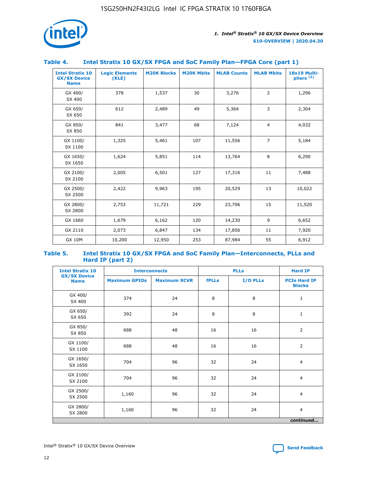

#### **Table 4. Intel Stratix 10 GX/SX FPGA and SoC Family Plan—FPGA Core (part 1)**

| <b>Intel Stratix 10</b><br><b>GX/SX Device</b><br><b>Name</b> | <b>Logic Elements</b><br>(KLE) | <b>M20K Blocks</b> | <b>M20K Mbits</b> | <b>MLAB Counts</b> | <b>MLAB Mbits</b> | 18x19 Multi-<br>pliers <sup>(2)</sup> |
|---------------------------------------------------------------|--------------------------------|--------------------|-------------------|--------------------|-------------------|---------------------------------------|
| GX 400/<br>SX 400                                             | 378                            | 1,537              | 30                | 3,276              | $\overline{2}$    | 1,296                                 |
| GX 650/<br>SX 650                                             | 612                            | 2,489              | 49                | 5,364              | 3                 | 2,304                                 |
| GX 850/<br>SX 850                                             | 841                            | 3,477              | 68                | 7,124              | $\overline{4}$    | 4,032                                 |
| GX 1100/<br>SX 1100                                           | 1,325                          | 5,461              | 107               | 11,556             | $\overline{7}$    | 5,184                                 |
| GX 1650/<br>SX 1650                                           | 1,624                          | 5,851              | 114               | 13,764             | 8                 | 6,290                                 |
| GX 2100/<br>SX 2100                                           | 2,005                          | 6,501              | 127               | 17,316             | 11                | 7,488                                 |
| GX 2500/<br>SX 2500                                           | 2,422                          | 9,963              | 195               | 20,529             | 13                | 10,022                                |
| GX 2800/<br>SX 2800                                           | 2,753                          | 11,721             | 229               | 23,796             | 15                | 11,520                                |
| GX 1660                                                       | 1,679                          | 6,162              | 120               | 14,230             | 9                 | 6,652                                 |
| GX 2110                                                       | 2,073                          | 6,847              | 134               | 17,856             | 11                | 7,920                                 |
| <b>GX 10M</b>                                                 | 10,200                         | 12,950             | 253               | 87,984             | 55                | 6,912                                 |

#### **Table 5. Intel Stratix 10 GX/SX FPGA and SoC Family Plan—Interconnects, PLLs and Hard IP (part 2)**

| <b>Intel Stratix 10</b>            | <b>Interconnects</b> |                     | <b>PLLs</b>  |          | <b>Hard IP</b>                       |  |
|------------------------------------|----------------------|---------------------|--------------|----------|--------------------------------------|--|
| <b>GX/SX Device</b><br><b>Name</b> | <b>Maximum GPIOs</b> | <b>Maximum XCVR</b> | <b>fPLLs</b> | I/O PLLs | <b>PCIe Hard IP</b><br><b>Blocks</b> |  |
| GX 400/<br>SX 400                  | 374                  | 24                  | 8            | 8        | $\mathbf{1}$                         |  |
| GX 650/<br>SX 650                  | 392                  | 24                  | 8            | 8        | $\mathbf{1}$                         |  |
| GX 850/<br>SX 850                  | 688                  | 48                  | 16           | 16       | 2                                    |  |
| GX 1100/<br>SX 1100                | 688                  | 48                  | 16           | 16       | 2                                    |  |
| GX 1650/<br>SX 1650                | 704                  | 96                  | 32           | 24       | $\overline{4}$                       |  |
| GX 2100/<br>SX 2100                | 704                  | 96                  | 32           | 24       | $\overline{4}$                       |  |
| GX 2500/<br>SX 2500                | 1,160                | 96                  | 32           | 24       | $\overline{4}$                       |  |
| GX 2800/<br>SX 2800                | 1,160                | 96                  | 32           | 24       | $\overline{4}$                       |  |
| continued                          |                      |                     |              |          |                                      |  |

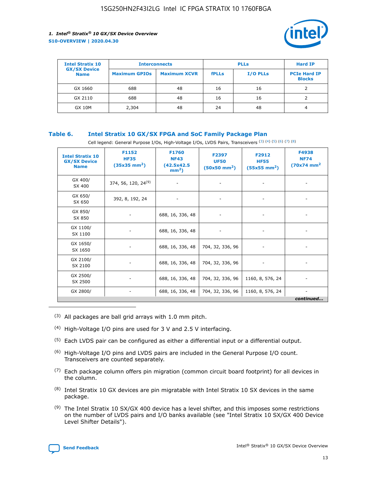

| <b>Intel Stratix 10</b>            | <b>Interconnects</b> |                     |              | <b>Hard IP</b>  |                                      |
|------------------------------------|----------------------|---------------------|--------------|-----------------|--------------------------------------|
| <b>GX/SX Device</b><br><b>Name</b> | <b>Maximum GPIOs</b> | <b>Maximum XCVR</b> | <b>fPLLs</b> | <b>I/O PLLs</b> | <b>PCIe Hard IP</b><br><b>Blocks</b> |
| GX 1660                            | 688                  | 48                  | 16           | 16              |                                      |
| GX 2110                            | 688                  | 48                  | 16           | 16              |                                      |
| <b>GX 10M</b>                      | 2,304                | 48                  | 24           | 48              | 4                                    |

#### **Table 6. Intel Stratix 10 GX/SX FPGA and SoC Family Package Plan**

Cell legend: General Purpose I/Os, High-Voltage I/Os, LVDS Pairs, Transceivers (3) (4) (5) (6) (7) (8)

| <b>Intel Stratix 10</b><br><b>GX/SX Device</b><br><b>Name</b> | F1152<br><b>HF35</b><br>$(35x35 \text{ mm}^2)$ | <b>F1760</b><br><b>NF43</b><br>(42.5x42.5<br>$mm2$ ) | F2397<br><b>UF50</b><br>$(50x50 \text{ mm}^2)$ | F2912<br><b>HF55</b><br>$(55x55 \text{ mm}^2)$ | F4938<br><b>NF74</b><br>$(70x74)$ mm <sup>2</sup> |
|---------------------------------------------------------------|------------------------------------------------|------------------------------------------------------|------------------------------------------------|------------------------------------------------|---------------------------------------------------|
| GX 400/<br>SX 400                                             | 374, 56, 120, 24 <sup>(9)</sup>                | $\overline{\phantom{a}}$                             | $\overline{\phantom{a}}$                       |                                                |                                                   |
| GX 650/<br>SX 650                                             | 392, 8, 192, 24                                | ٠                                                    | $\qquad \qquad \blacksquare$                   |                                                |                                                   |
| GX 850/<br>SX 850                                             | $\overline{\phantom{a}}$                       | 688, 16, 336, 48                                     | $\overline{\phantom{a}}$                       |                                                |                                                   |
| GX 1100/<br>SX 1100                                           | -                                              | 688, 16, 336, 48                                     |                                                |                                                |                                                   |
| GX 1650/<br>SX 1650                                           |                                                | 688, 16, 336, 48                                     | 704, 32, 336, 96                               | $\overline{\phantom{0}}$                       | $\overline{\phantom{0}}$                          |
| GX 2100/<br>SX 2100                                           |                                                | 688, 16, 336, 48                                     | 704, 32, 336, 96                               | $\overline{\phantom{a}}$                       | ٠                                                 |
| GX 2500/<br>SX 2500                                           |                                                | 688, 16, 336, 48                                     | 704, 32, 336, 96                               | 1160, 8, 576, 24                               |                                                   |
| GX 2800/                                                      | -                                              | 688, 16, 336, 48                                     | 704, 32, 336, 96                               | 1160, 8, 576, 24                               | continued                                         |

- (3) All packages are ball grid arrays with 1.0 mm pitch.
- (4) High-Voltage I/O pins are used for 3 V and 2.5 V interfacing.
- $(5)$  Each LVDS pair can be configured as either a differential input or a differential output.
- (6) High-Voltage I/O pins and LVDS pairs are included in the General Purpose I/O count. Transceivers are counted separately.
- $(7)$  Each package column offers pin migration (common circuit board footprint) for all devices in the column.
- $(8)$  Intel Stratix 10 GX devices are pin migratable with Intel Stratix 10 SX devices in the same package.
- $(9)$  The Intel Stratix 10 SX/GX 400 device has a level shifter, and this imposes some restrictions on the number of LVDS pairs and I/O banks available (see "Intel Stratix 10 SX/GX 400 Device Level Shifter Details").

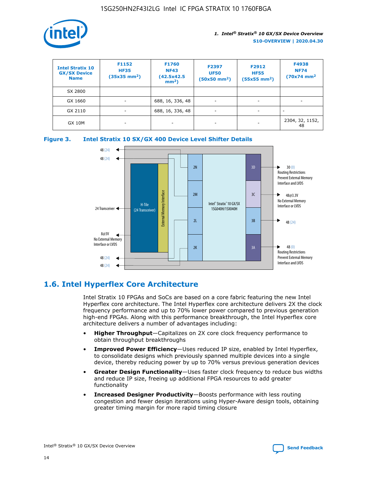

| <b>Intel Stratix 10</b><br><b>GX/SX Device</b><br><b>Name</b> | F1152<br><b>HF35</b><br>$(35x35)$ mm <sup>2</sup> ) | <b>F1760</b><br><b>NF43</b><br>(42.5x42.5<br>$mm2$ ) | F2397<br><b>UF50</b><br>$(50x50 \text{ mm}^2)$ | F2912<br><b>HF55</b><br>$(55x55$ mm <sup>2</sup> ) | F4938<br><b>NF74</b><br>$(70x74)$ mm <sup>2</sup> |
|---------------------------------------------------------------|-----------------------------------------------------|------------------------------------------------------|------------------------------------------------|----------------------------------------------------|---------------------------------------------------|
| SX 2800                                                       |                                                     |                                                      |                                                |                                                    |                                                   |
| GX 1660                                                       | ٠                                                   | 688, 16, 336, 48                                     | ۰                                              |                                                    |                                                   |
| GX 2110                                                       | $\overline{\phantom{a}}$                            | 688, 16, 336, 48                                     | ۰.                                             |                                                    |                                                   |
| <b>GX 10M</b>                                                 | ۰                                                   | -                                                    | -                                              |                                                    | 2304, 32, 1152,<br>48                             |





# **1.6. Intel Hyperflex Core Architecture**

Intel Stratix 10 FPGAs and SoCs are based on a core fabric featuring the new Intel Hyperflex core architecture. The Intel Hyperflex core architecture delivers 2X the clock frequency performance and up to 70% lower power compared to previous generation high-end FPGAs. Along with this performance breakthrough, the Intel Hyperflex core architecture delivers a number of advantages including:

- **Higher Throughput**—Capitalizes on 2X core clock frequency performance to obtain throughput breakthroughs
- **Improved Power Efficiency**—Uses reduced IP size, enabled by Intel Hyperflex, to consolidate designs which previously spanned multiple devices into a single device, thereby reducing power by up to 70% versus previous generation devices
- **Greater Design Functionality**—Uses faster clock frequency to reduce bus widths and reduce IP size, freeing up additional FPGA resources to add greater functionality
- **Increased Designer Productivity**—Boosts performance with less routing congestion and fewer design iterations using Hyper-Aware design tools, obtaining greater timing margin for more rapid timing closure

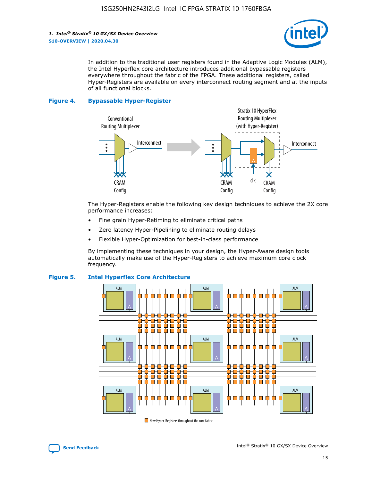

In addition to the traditional user registers found in the Adaptive Logic Modules (ALM), the Intel Hyperflex core architecture introduces additional bypassable registers everywhere throughout the fabric of the FPGA. These additional registers, called Hyper-Registers are available on every interconnect routing segment and at the inputs of all functional blocks.

#### **Figure 4. Bypassable Hyper-Register**



The Hyper-Registers enable the following key design techniques to achieve the 2X core performance increases:

- Fine grain Hyper-Retiming to eliminate critical paths
- Zero latency Hyper-Pipelining to eliminate routing delays
- Flexible Hyper-Optimization for best-in-class performance

By implementing these techniques in your design, the Hyper-Aware design tools automatically make use of the Hyper-Registers to achieve maximum core clock frequency.



#### **Figure 5. Intel Hyperflex Core Architecture**

New Hyper-Registers throughout the core fabric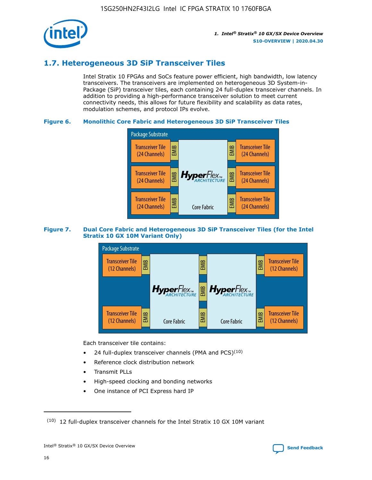

# **1.7. Heterogeneous 3D SiP Transceiver Tiles**

Intel Stratix 10 FPGAs and SoCs feature power efficient, high bandwidth, low latency transceivers. The transceivers are implemented on heterogeneous 3D System-in-Package (SiP) transceiver tiles, each containing 24 full-duplex transceiver channels. In addition to providing a high-performance transceiver solution to meet current connectivity needs, this allows for future flexibility and scalability as data rates, modulation schemes, and protocol IPs evolve.

#### **Figure 6. Monolithic Core Fabric and Heterogeneous 3D SiP Transceiver Tiles**



#### **Figure 7. Dual Core Fabric and Heterogeneous 3D SiP Transceiver Tiles (for the Intel Stratix 10 GX 10M Variant Only)**



Each transceiver tile contains:

- 24 full-duplex transceiver channels (PMA and PCS) $(10)$
- Reference clock distribution network
- Transmit PLLs
- High-speed clocking and bonding networks
- One instance of PCI Express hard IP

16



 $(10)$  12 full-duplex transceiver channels for the Intel Stratix 10 GX 10M variant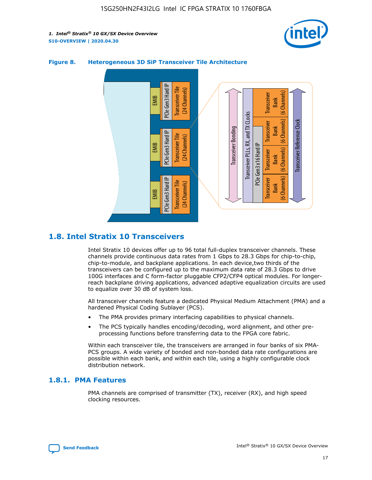



#### **Figure 8. Heterogeneous 3D SiP Transceiver Tile Architecture**

# **1.8. Intel Stratix 10 Transceivers**

Intel Stratix 10 devices offer up to 96 total full-duplex transceiver channels. These channels provide continuous data rates from 1 Gbps to 28.3 Gbps for chip-to-chip, chip-to-module, and backplane applications. In each device,two thirds of the transceivers can be configured up to the maximum data rate of 28.3 Gbps to drive 100G interfaces and C form-factor pluggable CFP2/CFP4 optical modules. For longerreach backplane driving applications, advanced adaptive equalization circuits are used to equalize over 30 dB of system loss.

All transceiver channels feature a dedicated Physical Medium Attachment (PMA) and a hardened Physical Coding Sublayer (PCS).

- The PMA provides primary interfacing capabilities to physical channels.
- The PCS typically handles encoding/decoding, word alignment, and other preprocessing functions before transferring data to the FPGA core fabric.

Within each transceiver tile, the transceivers are arranged in four banks of six PMA-PCS groups. A wide variety of bonded and non-bonded data rate configurations are possible within each bank, and within each tile, using a highly configurable clock distribution network.

#### **1.8.1. PMA Features**

PMA channels are comprised of transmitter (TX), receiver (RX), and high speed clocking resources.

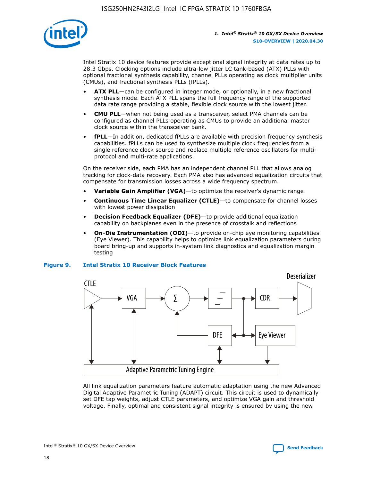

Intel Stratix 10 device features provide exceptional signal integrity at data rates up to 28.3 Gbps. Clocking options include ultra-low jitter LC tank-based (ATX) PLLs with optional fractional synthesis capability, channel PLLs operating as clock multiplier units (CMUs), and fractional synthesis PLLs (fPLLs).

- **ATX PLL**—can be configured in integer mode, or optionally, in a new fractional synthesis mode. Each ATX PLL spans the full frequency range of the supported data rate range providing a stable, flexible clock source with the lowest jitter.
- **CMU PLL**—when not being used as a transceiver, select PMA channels can be configured as channel PLLs operating as CMUs to provide an additional master clock source within the transceiver bank.
- **fPLL**—In addition, dedicated fPLLs are available with precision frequency synthesis capabilities. fPLLs can be used to synthesize multiple clock frequencies from a single reference clock source and replace multiple reference oscillators for multiprotocol and multi-rate applications.

On the receiver side, each PMA has an independent channel PLL that allows analog tracking for clock-data recovery. Each PMA also has advanced equalization circuits that compensate for transmission losses across a wide frequency spectrum.

- **Variable Gain Amplifier (VGA)**—to optimize the receiver's dynamic range
- **Continuous Time Linear Equalizer (CTLE)**—to compensate for channel losses with lowest power dissipation
- **Decision Feedback Equalizer (DFE)**—to provide additional equalization capability on backplanes even in the presence of crosstalk and reflections
- **On-Die Instrumentation (ODI)**—to provide on-chip eye monitoring capabilities (Eye Viewer). This capability helps to optimize link equalization parameters during board bring-up and supports in-system link diagnostics and equalization margin testing

#### **Figure 9. Intel Stratix 10 Receiver Block Features**



All link equalization parameters feature automatic adaptation using the new Advanced Digital Adaptive Parametric Tuning (ADAPT) circuit. This circuit is used to dynamically set DFE tap weights, adjust CTLE parameters, and optimize VGA gain and threshold voltage. Finally, optimal and consistent signal integrity is ensured by using the new



Intel<sup>®</sup> Stratix<sup>®</sup> 10 GX/SX Device Overview **[Send Feedback](mailto:FPGAtechdocfeedback@intel.com?subject=Feedback%20on%20Intel%20Stratix%2010%20GX/SX%20Device%20Overview%20(S10-OVERVIEW%202020.04.30)&body=We%20appreciate%20your%20feedback.%20In%20your%20comments,%20also%20specify%20the%20page%20number%20or%20paragraph.%20Thank%20you.)** Send Feedback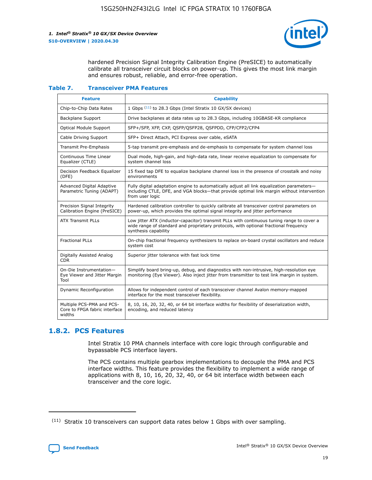

hardened Precision Signal Integrity Calibration Engine (PreSICE) to automatically calibrate all transceiver circuit blocks on power-up. This gives the most link margin and ensures robust, reliable, and error-free operation.

#### **Table 7. Transceiver PMA Features**

| <b>Feature</b>                                                       | <b>Capability</b>                                                                                                                                                                                         |
|----------------------------------------------------------------------|-----------------------------------------------------------------------------------------------------------------------------------------------------------------------------------------------------------|
| Chip-to-Chip Data Rates                                              | 1 Gbps (11) to 28.3 Gbps (Intel Stratix 10 GX/SX devices)                                                                                                                                                 |
| <b>Backplane Support</b>                                             | Drive backplanes at data rates up to 28.3 Gbps, including 10GBASE-KR compliance                                                                                                                           |
| Optical Module Support                                               | SFP+/SFP, XFP, CXP, QSFP/QSFP28, QSFPDD, CFP/CFP2/CFP4                                                                                                                                                    |
| Cable Driving Support                                                | SFP+ Direct Attach, PCI Express over cable, eSATA                                                                                                                                                         |
| <b>Transmit Pre-Emphasis</b>                                         | 5-tap transmit pre-emphasis and de-emphasis to compensate for system channel loss                                                                                                                         |
| Continuous Time Linear<br>Equalizer (CTLE)                           | Dual mode, high-gain, and high-data rate, linear receive equalization to compensate for<br>system channel loss                                                                                            |
| Decision Feedback Equalizer<br>(DFE)                                 | 15 fixed tap DFE to equalize backplane channel loss in the presence of crosstalk and noisy<br>environments                                                                                                |
| Advanced Digital Adaptive<br>Parametric Tuning (ADAPT)               | Fully digital adaptation engine to automatically adjust all link equalization parameters-<br>including CTLE, DFE, and VGA blocks-that provide optimal link margin without intervention<br>from user logic |
| Precision Signal Integrity<br>Calibration Engine (PreSICE)           | Hardened calibration controller to quickly calibrate all transceiver control parameters on<br>power-up, which provides the optimal signal integrity and jitter performance                                |
| <b>ATX Transmit PLLs</b>                                             | Low jitter ATX (inductor-capacitor) transmit PLLs with continuous tuning range to cover a<br>wide range of standard and proprietary protocols, with optional fractional frequency<br>synthesis capability |
| <b>Fractional PLLs</b>                                               | On-chip fractional frequency synthesizers to replace on-board crystal oscillators and reduce<br>system cost                                                                                               |
| Digitally Assisted Analog<br>CDR.                                    | Superior jitter tolerance with fast lock time                                                                                                                                                             |
| On-Die Instrumentation-<br>Eye Viewer and Jitter Margin<br>Tool      | Simplify board bring-up, debug, and diagnostics with non-intrusive, high-resolution eye<br>monitoring (Eye Viewer). Also inject jitter from transmitter to test link margin in system.                    |
| Dynamic Reconfiguration                                              | Allows for independent control of each transceiver channel Avalon memory-mapped<br>interface for the most transceiver flexibility.                                                                        |
| Multiple PCS-PMA and PCS-<br>Core to FPGA fabric interface<br>widths | 8, 10, 16, 20, 32, 40, or 64 bit interface widths for flexibility of deserialization width,<br>encoding, and reduced latency                                                                              |

### **1.8.2. PCS Features**

Intel Stratix 10 PMA channels interface with core logic through configurable and bypassable PCS interface layers.

The PCS contains multiple gearbox implementations to decouple the PMA and PCS interface widths. This feature provides the flexibility to implement a wide range of applications with 8, 10, 16, 20, 32, 40, or 64 bit interface width between each transceiver and the core logic.

 $(11)$  Stratix 10 transceivers can support data rates below 1 Gbps with over sampling.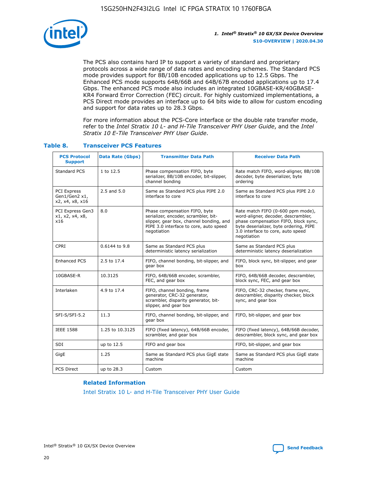

The PCS also contains hard IP to support a variety of standard and proprietary protocols across a wide range of data rates and encoding schemes. The Standard PCS mode provides support for 8B/10B encoded applications up to 12.5 Gbps. The Enhanced PCS mode supports 64B/66B and 64B/67B encoded applications up to 17.4 Gbps. The enhanced PCS mode also includes an integrated 10GBASE-KR/40GBASE-KR4 Forward Error Correction (FEC) circuit. For highly customized implementations, a PCS Direct mode provides an interface up to 64 bits wide to allow for custom encoding and support for data rates up to 28.3 Gbps.

For more information about the PCS-Core interface or the double rate transfer mode, refer to the *Intel Stratix 10 L- and H-Tile Transceiver PHY User Guide*, and the *Intel Stratix 10 E-Tile Transceiver PHY User Guide*.

| <b>PCS Protocol</b><br><b>Support</b>           | <b>Data Rate (Gbps)</b> | <b>Transmitter Data Path</b>                                                                                                                                              | <b>Receiver Data Path</b>                                                                                                                                                                                      |
|-------------------------------------------------|-------------------------|---------------------------------------------------------------------------------------------------------------------------------------------------------------------------|----------------------------------------------------------------------------------------------------------------------------------------------------------------------------------------------------------------|
| Standard PCS                                    | 1 to 12.5               | Phase compensation FIFO, byte<br>serializer, 8B/10B encoder, bit-slipper,<br>channel bonding                                                                              | Rate match FIFO, word-aligner, 8B/10B<br>decoder, byte deserializer, byte<br>ordering                                                                                                                          |
| PCI Express<br>Gen1/Gen2 x1,<br>x2, x4, x8, x16 | $2.5$ and $5.0$         | Same as Standard PCS plus PIPE 2.0<br>interface to core                                                                                                                   | Same as Standard PCS plus PIPE 2.0<br>interface to core                                                                                                                                                        |
| PCI Express Gen3<br>x1, x2, x4, x8,<br>x16      | 8.0                     | Phase compensation FIFO, byte<br>serializer, encoder, scrambler, bit-<br>slipper, gear box, channel bonding, and<br>PIPE 3.0 interface to core, auto speed<br>negotiation | Rate match FIFO (0-600 ppm mode),<br>word-aligner, decoder, descrambler,<br>phase compensation FIFO, block sync,<br>byte deserializer, byte ordering, PIPE<br>3.0 interface to core, auto speed<br>negotiation |
| CPRI                                            | 0.6144 to 9.8           | Same as Standard PCS plus<br>deterministic latency serialization                                                                                                          | Same as Standard PCS plus<br>deterministic latency deserialization                                                                                                                                             |
| <b>Enhanced PCS</b>                             | 2.5 to 17.4             | FIFO, channel bonding, bit-slipper, and<br>gear box                                                                                                                       | FIFO, block sync, bit-slipper, and gear<br>box                                                                                                                                                                 |
| 10GBASE-R                                       | 10.3125                 | FIFO, 64B/66B encoder, scrambler,<br>FEC, and gear box                                                                                                                    | FIFO, 64B/66B decoder, descrambler,<br>block sync, FEC, and gear box                                                                                                                                           |
| Interlaken                                      | 4.9 to 17.4             | FIFO, channel bonding, frame<br>generator, CRC-32 generator,<br>scrambler, disparity generator, bit-<br>slipper, and gear box                                             | FIFO, CRC-32 checker, frame sync,<br>descrambler, disparity checker, block<br>sync, and gear box                                                                                                               |
| SFI-S/SFI-5.2                                   | 11.3                    | FIFO, channel bonding, bit-slipper, and<br>gear box                                                                                                                       | FIFO, bit-slipper, and gear box                                                                                                                                                                                |
| <b>IEEE 1588</b>                                | 1.25 to 10.3125         | FIFO (fixed latency), 64B/66B encoder,<br>scrambler, and gear box                                                                                                         | FIFO (fixed latency), 64B/66B decoder,<br>descrambler, block sync, and gear box                                                                                                                                |
| SDI                                             | up to 12.5              | FIFO and gear box                                                                                                                                                         | FIFO, bit-slipper, and gear box                                                                                                                                                                                |
| GigE                                            | 1.25                    | Same as Standard PCS plus GigE state<br>machine                                                                                                                           | Same as Standard PCS plus GigE state<br>machine                                                                                                                                                                |
| <b>PCS Direct</b>                               | up to 28.3              | Custom                                                                                                                                                                    | Custom                                                                                                                                                                                                         |

#### **Table 8. Transceiver PCS Features**

#### **Related Information**

[Intel Stratix 10 L- and H-Tile Transceiver PHY User Guide](https://www.altera.com/documentation/wry1479165198810.html)

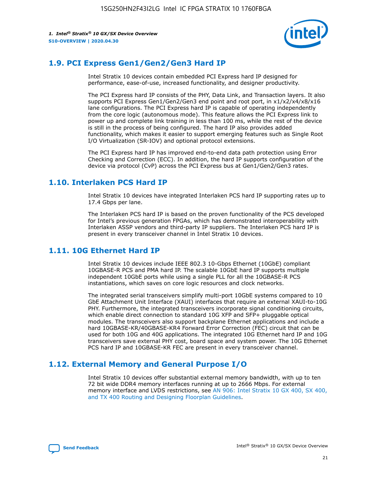

# **1.9. PCI Express Gen1/Gen2/Gen3 Hard IP**

Intel Stratix 10 devices contain embedded PCI Express hard IP designed for performance, ease-of-use, increased functionality, and designer productivity.

The PCI Express hard IP consists of the PHY, Data Link, and Transaction layers. It also supports PCI Express Gen1/Gen2/Gen3 end point and root port, in x1/x2/x4/x8/x16 lane configurations. The PCI Express hard IP is capable of operating independently from the core logic (autonomous mode). This feature allows the PCI Express link to power up and complete link training in less than 100 ms, while the rest of the device is still in the process of being configured. The hard IP also provides added functionality, which makes it easier to support emerging features such as Single Root I/O Virtualization (SR-IOV) and optional protocol extensions.

The PCI Express hard IP has improved end-to-end data path protection using Error Checking and Correction (ECC). In addition, the hard IP supports configuration of the device via protocol (CvP) across the PCI Express bus at Gen1/Gen2/Gen3 rates.

# **1.10. Interlaken PCS Hard IP**

Intel Stratix 10 devices have integrated Interlaken PCS hard IP supporting rates up to 17.4 Gbps per lane.

The Interlaken PCS hard IP is based on the proven functionality of the PCS developed for Intel's previous generation FPGAs, which has demonstrated interoperability with Interlaken ASSP vendors and third-party IP suppliers. The Interlaken PCS hard IP is present in every transceiver channel in Intel Stratix 10 devices.

# **1.11. 10G Ethernet Hard IP**

Intel Stratix 10 devices include IEEE 802.3 10-Gbps Ethernet (10GbE) compliant 10GBASE-R PCS and PMA hard IP. The scalable 10GbE hard IP supports multiple independent 10GbE ports while using a single PLL for all the 10GBASE-R PCS instantiations, which saves on core logic resources and clock networks.

The integrated serial transceivers simplify multi-port 10GbE systems compared to 10 GbE Attachment Unit Interface (XAUI) interfaces that require an external XAUI-to-10G PHY. Furthermore, the integrated transceivers incorporate signal conditioning circuits, which enable direct connection to standard 10G XFP and SFP+ pluggable optical modules. The transceivers also support backplane Ethernet applications and include a hard 10GBASE-KR/40GBASE-KR4 Forward Error Correction (FEC) circuit that can be used for both 10G and 40G applications. The integrated 10G Ethernet hard IP and 10G transceivers save external PHY cost, board space and system power. The 10G Ethernet PCS hard IP and 10GBASE-KR FEC are present in every transceiver channel.

# **1.12. External Memory and General Purpose I/O**

Intel Stratix 10 devices offer substantial external memory bandwidth, with up to ten 72 bit wide DDR4 memory interfaces running at up to 2666 Mbps. For external memory interface and LVDS restrictions, see [AN 906: Intel Stratix 10 GX 400, SX 400,](https://www.intel.com/content/www/us/en/programmable/documentation/sjf1574667190623.html#bft1574667627484) [and TX 400 Routing and Designing Floorplan Guidelines.](https://www.intel.com/content/www/us/en/programmable/documentation/sjf1574667190623.html#bft1574667627484)

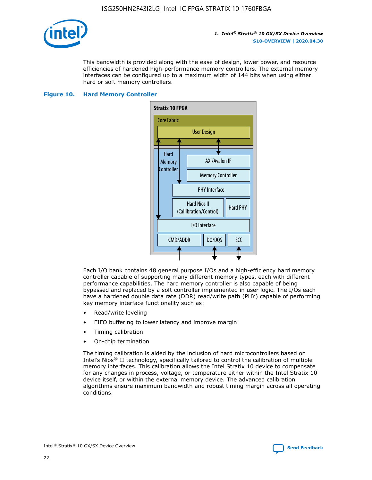

This bandwidth is provided along with the ease of design, lower power, and resource efficiencies of hardened high-performance memory controllers. The external memory interfaces can be configured up to a maximum width of 144 bits when using either hard or soft memory controllers.

#### **Figure 10. Hard Memory Controller**



Each I/O bank contains 48 general purpose I/Os and a high-efficiency hard memory controller capable of supporting many different memory types, each with different performance capabilities. The hard memory controller is also capable of being bypassed and replaced by a soft controller implemented in user logic. The I/Os each have a hardened double data rate (DDR) read/write path (PHY) capable of performing key memory interface functionality such as:

- Read/write leveling
- FIFO buffering to lower latency and improve margin
- Timing calibration
- On-chip termination

The timing calibration is aided by the inclusion of hard microcontrollers based on Intel's Nios® II technology, specifically tailored to control the calibration of multiple memory interfaces. This calibration allows the Intel Stratix 10 device to compensate for any changes in process, voltage, or temperature either within the Intel Stratix 10 device itself, or within the external memory device. The advanced calibration algorithms ensure maximum bandwidth and robust timing margin across all operating conditions.

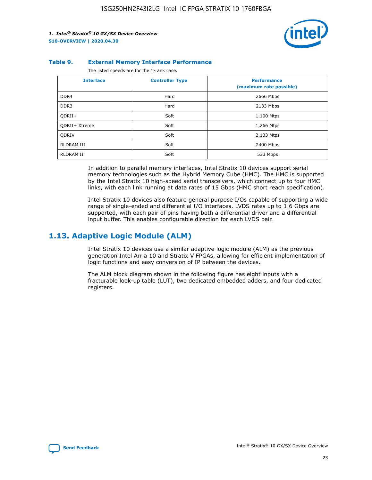

#### **Table 9. External Memory Interface Performance**

The listed speeds are for the 1-rank case.

| <b>Interface</b> | <b>Controller Type</b> | <b>Performance</b><br>(maximum rate possible) |
|------------------|------------------------|-----------------------------------------------|
| DDR4             | Hard                   | 2666 Mbps                                     |
| DDR <sub>3</sub> | Hard                   | 2133 Mbps                                     |
| QDRII+           | Soft                   | 1,100 Mtps                                    |
| QDRII+ Xtreme    | Soft                   | 1,266 Mtps                                    |
| <b>ODRIV</b>     | Soft                   | 2,133 Mtps                                    |
| RLDRAM III       | Soft                   | 2400 Mbps                                     |
| <b>RLDRAM II</b> | Soft                   | 533 Mbps                                      |

In addition to parallel memory interfaces, Intel Stratix 10 devices support serial memory technologies such as the Hybrid Memory Cube (HMC). The HMC is supported by the Intel Stratix 10 high-speed serial transceivers, which connect up to four HMC links, with each link running at data rates of 15 Gbps (HMC short reach specification).

Intel Stratix 10 devices also feature general purpose I/Os capable of supporting a wide range of single-ended and differential I/O interfaces. LVDS rates up to 1.6 Gbps are supported, with each pair of pins having both a differential driver and a differential input buffer. This enables configurable direction for each LVDS pair.

# **1.13. Adaptive Logic Module (ALM)**

Intel Stratix 10 devices use a similar adaptive logic module (ALM) as the previous generation Intel Arria 10 and Stratix V FPGAs, allowing for efficient implementation of logic functions and easy conversion of IP between the devices.

The ALM block diagram shown in the following figure has eight inputs with a fracturable look-up table (LUT), two dedicated embedded adders, and four dedicated registers.

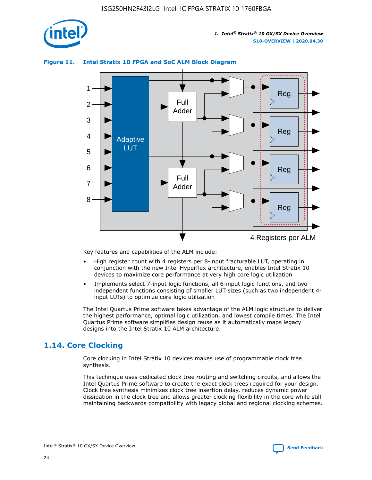

#### **Figure 11. Intel Stratix 10 FPGA and SoC ALM Block Diagram**



Key features and capabilities of the ALM include:

- High register count with 4 registers per 8-input fracturable LUT, operating in conjunction with the new Intel Hyperflex architecture, enables Intel Stratix 10 devices to maximize core performance at very high core logic utilization
- Implements select 7-input logic functions, all 6-input logic functions, and two independent functions consisting of smaller LUT sizes (such as two independent 4 input LUTs) to optimize core logic utilization

The Intel Quartus Prime software takes advantage of the ALM logic structure to deliver the highest performance, optimal logic utilization, and lowest compile times. The Intel Quartus Prime software simplifies design reuse as it automatically maps legacy designs into the Intel Stratix 10 ALM architecture.

# **1.14. Core Clocking**

Core clocking in Intel Stratix 10 devices makes use of programmable clock tree synthesis.

This technique uses dedicated clock tree routing and switching circuits, and allows the Intel Quartus Prime software to create the exact clock trees required for your design. Clock tree synthesis minimizes clock tree insertion delay, reduces dynamic power dissipation in the clock tree and allows greater clocking flexibility in the core while still maintaining backwards compatibility with legacy global and regional clocking schemes.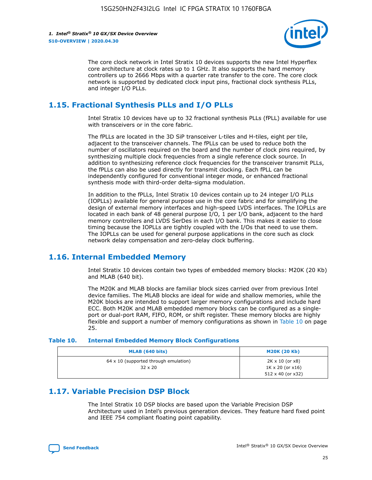

The core clock network in Intel Stratix 10 devices supports the new Intel Hyperflex core architecture at clock rates up to 1 GHz. It also supports the hard memory controllers up to 2666 Mbps with a quarter rate transfer to the core. The core clock network is supported by dedicated clock input pins, fractional clock synthesis PLLs, and integer I/O PLLs.

# **1.15. Fractional Synthesis PLLs and I/O PLLs**

Intel Stratix 10 devices have up to 32 fractional synthesis PLLs (fPLL) available for use with transceivers or in the core fabric.

The fPLLs are located in the 3D SiP transceiver L-tiles and H-tiles, eight per tile, adjacent to the transceiver channels. The fPLLs can be used to reduce both the number of oscillators required on the board and the number of clock pins required, by synthesizing multiple clock frequencies from a single reference clock source. In addition to synthesizing reference clock frequencies for the transceiver transmit PLLs, the fPLLs can also be used directly for transmit clocking. Each fPLL can be independently configured for conventional integer mode, or enhanced fractional synthesis mode with third-order delta-sigma modulation.

In addition to the fPLLs, Intel Stratix 10 devices contain up to 24 integer I/O PLLs (IOPLLs) available for general purpose use in the core fabric and for simplifying the design of external memory interfaces and high-speed LVDS interfaces. The IOPLLs are located in each bank of 48 general purpose I/O, 1 per I/O bank, adjacent to the hard memory controllers and LVDS SerDes in each I/O bank. This makes it easier to close timing because the IOPLLs are tightly coupled with the I/Os that need to use them. The IOPLLs can be used for general purpose applications in the core such as clock network delay compensation and zero-delay clock buffering.

# **1.16. Internal Embedded Memory**

Intel Stratix 10 devices contain two types of embedded memory blocks: M20K (20 Kb) and MLAB (640 bit).

The M20K and MLAB blocks are familiar block sizes carried over from previous Intel device families. The MLAB blocks are ideal for wide and shallow memories, while the M20K blocks are intended to support larger memory configurations and include hard ECC. Both M20K and MLAB embedded memory blocks can be configured as a singleport or dual-port RAM, FIFO, ROM, or shift register. These memory blocks are highly flexible and support a number of memory configurations as shown in Table 10 on page 25.

#### **Table 10. Internal Embedded Memory Block Configurations**

| MLAB (640 bits)                                                | <b>M20K (20 Kb)</b>                                                                    |
|----------------------------------------------------------------|----------------------------------------------------------------------------------------|
| $64 \times 10$ (supported through emulation)<br>$32 \times 20$ | $2K \times 10$ (or $x8$ )<br>$1K \times 20$ (or $x16$ )<br>$512 \times 40$ (or $x32$ ) |

# **1.17. Variable Precision DSP Block**

The Intel Stratix 10 DSP blocks are based upon the Variable Precision DSP Architecture used in Intel's previous generation devices. They feature hard fixed point and IEEE 754 compliant floating point capability.

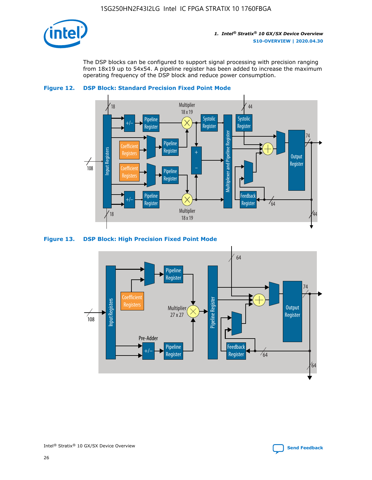

The DSP blocks can be configured to support signal processing with precision ranging from 18x19 up to 54x54. A pipeline register has been added to increase the maximum operating frequency of the DSP block and reduce power consumption.



#### **Figure 12. DSP Block: Standard Precision Fixed Point Mode**

#### **Figure 13. DSP Block: High Precision Fixed Point Mode**



44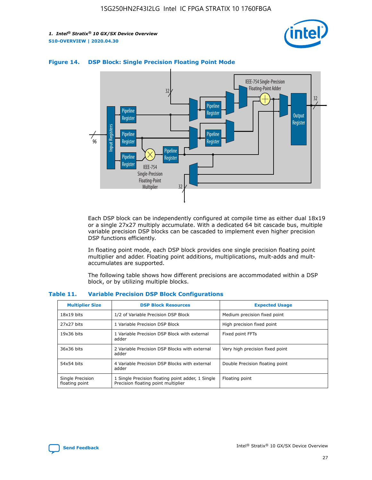



#### **Figure 14. DSP Block: Single Precision Floating Point Mode**

Each DSP block can be independently configured at compile time as either dual 18x19 or a single 27x27 multiply accumulate. With a dedicated 64 bit cascade bus, multiple variable precision DSP blocks can be cascaded to implement even higher precision DSP functions efficiently.

In floating point mode, each DSP block provides one single precision floating point multiplier and adder. Floating point additions, multiplications, mult-adds and multaccumulates are supported.

The following table shows how different precisions are accommodated within a DSP block, or by utilizing multiple blocks.

| <b>Multiplier Size</b>             | <b>DSP Block Resources</b>                                                               | <b>Expected Usage</b>           |
|------------------------------------|------------------------------------------------------------------------------------------|---------------------------------|
| $18x19$ bits                       | 1/2 of Variable Precision DSP Block                                                      | Medium precision fixed point    |
| 27x27 bits                         | 1 Variable Precision DSP Block                                                           | High precision fixed point      |
| $19x36$ bits                       | 1 Variable Precision DSP Block with external<br>adder                                    | Fixed point FFTs                |
| 36x36 bits                         | 2 Variable Precision DSP Blocks with external<br>adder                                   | Very high precision fixed point |
| 54x54 bits                         | 4 Variable Precision DSP Blocks with external<br>adder                                   | Double Precision floating point |
| Single Precision<br>floating point | 1 Single Precision floating point adder, 1 Single<br>Precision floating point multiplier | Floating point                  |

#### **Table 11. Variable Precision DSP Block Configurations**

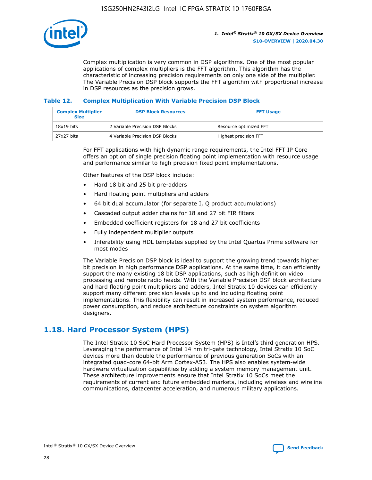

Complex multiplication is very common in DSP algorithms. One of the most popular applications of complex multipliers is the FFT algorithm. This algorithm has the characteristic of increasing precision requirements on only one side of the multiplier. The Variable Precision DSP block supports the FFT algorithm with proportional increase in DSP resources as the precision grows.

#### **Table 12. Complex Multiplication With Variable Precision DSP Block**

| <b>Complex Multiplier</b><br><b>Size</b> | <b>DSP Block Resources</b>      | <b>FFT Usage</b>       |
|------------------------------------------|---------------------------------|------------------------|
| $18x19$ bits                             | 2 Variable Precision DSP Blocks | Resource optimized FFT |
| 27x27 bits                               | 4 Variable Precision DSP Blocks | Highest precision FFT  |

For FFT applications with high dynamic range requirements, the Intel FFT IP Core offers an option of single precision floating point implementation with resource usage and performance similar to high precision fixed point implementations.

Other features of the DSP block include:

- Hard 18 bit and 25 bit pre-adders
- Hard floating point multipliers and adders
- 64 bit dual accumulator (for separate I, Q product accumulations)
- Cascaded output adder chains for 18 and 27 bit FIR filters
- Embedded coefficient registers for 18 and 27 bit coefficients
- Fully independent multiplier outputs
- Inferability using HDL templates supplied by the Intel Quartus Prime software for most modes

The Variable Precision DSP block is ideal to support the growing trend towards higher bit precision in high performance DSP applications. At the same time, it can efficiently support the many existing 18 bit DSP applications, such as high definition video processing and remote radio heads. With the Variable Precision DSP block architecture and hard floating point multipliers and adders, Intel Stratix 10 devices can efficiently support many different precision levels up to and including floating point implementations. This flexibility can result in increased system performance, reduced power consumption, and reduce architecture constraints on system algorithm designers.

# **1.18. Hard Processor System (HPS)**

The Intel Stratix 10 SoC Hard Processor System (HPS) is Intel's third generation HPS. Leveraging the performance of Intel 14 nm tri-gate technology, Intel Stratix 10 SoC devices more than double the performance of previous generation SoCs with an integrated quad-core 64-bit Arm Cortex-A53. The HPS also enables system-wide hardware virtualization capabilities by adding a system memory management unit. These architecture improvements ensure that Intel Stratix 10 SoCs meet the requirements of current and future embedded markets, including wireless and wireline communications, datacenter acceleration, and numerous military applications.

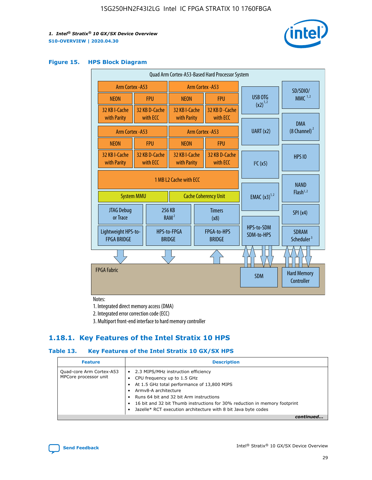

#### **Figure 15. HPS Block Diagram**

| Quad Arm Cortex-A53-Based Hard Processor System |                                                                                                        |                           |                                                     |  |                                     |                          |                                        |
|-------------------------------------------------|--------------------------------------------------------------------------------------------------------|---------------------------|-----------------------------------------------------|--|-------------------------------------|--------------------------|----------------------------------------|
|                                                 | Arm Cortex - A53<br>Arm Cortex - A53                                                                   |                           |                                                     |  |                                     | SD/SDIO/                 |                                        |
| <b>NEON</b>                                     |                                                                                                        | <b>FPU</b>                | <b>NEON</b>                                         |  | <b>FPU</b>                          | <b>USB OTG</b>           | $MMC$ <sup>1,2</sup>                   |
| 32 KB I-Cache<br>with Parity                    |                                                                                                        | 32 KB D-Cache<br>with ECC | 32 KB I-Cache<br>with Parity                        |  | 32 KB D-Cache<br>with ECC           | $(x2)^{1,2}$             |                                        |
| Arm Cortex - A53                                |                                                                                                        |                           |                                                     |  | Arm Cortex - A53                    | UART (x2)                | <b>DMA</b><br>$(8 \text{ Channel})^2$  |
| <b>NEON</b>                                     |                                                                                                        | <b>FPU</b>                | <b>NEON</b>                                         |  | <b>FPU</b>                          |                          |                                        |
| 32 KB I-Cache<br>with Parity                    |                                                                                                        | 32 KB D-Cache<br>with ECC | 32 KB I-Cache<br>with Parity                        |  | 32 KB D-Cache<br>with ECC           | I <sup>2</sup> C(x5)     | <b>HPS 10</b>                          |
|                                                 | 1 MB L2 Cache with ECC<br><b>EMAC</b> $(x3)^{1,2}$<br><b>System MMU</b><br><b>Cache Coherency Unit</b> |                           |                                                     |  | <b>NAND</b><br>Flash <sup>1,2</sup> |                          |                                        |
| JTAG Debug<br>or Trace                          |                                                                                                        |                           | 256 KB<br><b>Timers</b><br>RAM <sup>2</sup><br>(x8) |  |                                     | SPI(x4)                  |                                        |
| Lightweight HPS-to-<br><b>FPGA BRIDGE</b>       |                                                                                                        |                           | HPS-to-FPGA<br><b>BRIDGE</b>                        |  | FPGA-to-HPS<br><b>BRIDGE</b>        | HPS-to-SDM<br>SDM-to-HPS | <b>SDRAM</b><br>Scheduler <sup>3</sup> |
|                                                 |                                                                                                        |                           |                                                     |  |                                     |                          |                                        |
| <b>FPGA Fabric</b>                              |                                                                                                        |                           |                                                     |  |                                     | <b>SDM</b>               | <b>Hard Memory</b><br>Controller       |

Notes:

1. Integrated direct memory access (DMA)

2. Integrated error correction code (ECC)

3. Multiport front-end interface to hard memory controller

### **1.18.1. Key Features of the Intel Stratix 10 HPS**

#### **Table 13. Key Features of the Intel Stratix 10 GX/SX HPS**

| <b>Feature</b>                                    | <b>Description</b>                                                                                                                                                                                                                                                                                                                                     |
|---------------------------------------------------|--------------------------------------------------------------------------------------------------------------------------------------------------------------------------------------------------------------------------------------------------------------------------------------------------------------------------------------------------------|
| Quad-core Arm Cortex-A53<br>MPCore processor unit | 2.3 MIPS/MHz instruction efficiency<br>$\bullet$<br>CPU frequency up to 1.5 GHz<br>٠<br>At 1.5 GHz total performance of 13,800 MIPS<br>Army8-A architecture<br>Runs 64 bit and 32 bit Arm instructions<br>16 bit and 32 bit Thumb instructions for 30% reduction in memory footprint<br>Jazelle* RCT execution architecture with 8 bit Java byte codes |
|                                                   |                                                                                                                                                                                                                                                                                                                                                        |

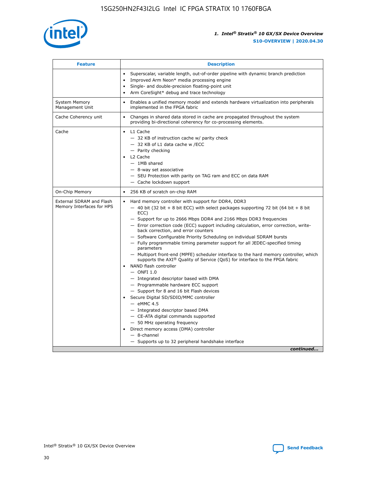

| <b>Feature</b>                                        | <b>Description</b>                                                                                                                                                                                                                                                                                                                                                                                                                                                                                                                                                                                                                                                                                                                                                                                                                                                                                                                                                                                                                                                                                                                                                                                                       |
|-------------------------------------------------------|--------------------------------------------------------------------------------------------------------------------------------------------------------------------------------------------------------------------------------------------------------------------------------------------------------------------------------------------------------------------------------------------------------------------------------------------------------------------------------------------------------------------------------------------------------------------------------------------------------------------------------------------------------------------------------------------------------------------------------------------------------------------------------------------------------------------------------------------------------------------------------------------------------------------------------------------------------------------------------------------------------------------------------------------------------------------------------------------------------------------------------------------------------------------------------------------------------------------------|
|                                                       | Superscalar, variable length, out-of-order pipeline with dynamic branch prediction<br>Improved Arm Neon* media processing engine<br>$\bullet$<br>Single- and double-precision floating-point unit<br>Arm CoreSight* debug and trace technology<br>$\bullet$                                                                                                                                                                                                                                                                                                                                                                                                                                                                                                                                                                                                                                                                                                                                                                                                                                                                                                                                                              |
| <b>System Memory</b><br>Management Unit               | Enables a unified memory model and extends hardware virtualization into peripherals<br>$\bullet$<br>implemented in the FPGA fabric                                                                                                                                                                                                                                                                                                                                                                                                                                                                                                                                                                                                                                                                                                                                                                                                                                                                                                                                                                                                                                                                                       |
| Cache Coherency unit                                  | $\bullet$<br>Changes in shared data stored in cache are propagated throughout the system<br>providing bi-directional coherency for co-processing elements.                                                                                                                                                                                                                                                                                                                                                                                                                                                                                                                                                                                                                                                                                                                                                                                                                                                                                                                                                                                                                                                               |
| Cache                                                 | $\bullet$ L1 Cache<br>- 32 KB of instruction cache w/ parity check<br>- 32 KB of L1 data cache w /ECC<br>- Parity checking<br>L2 Cache<br>$-$ 1MB shared<br>$-$ 8-way set associative<br>- SEU Protection with parity on TAG ram and ECC on data RAM<br>- Cache lockdown support                                                                                                                                                                                                                                                                                                                                                                                                                                                                                                                                                                                                                                                                                                                                                                                                                                                                                                                                         |
| On-Chip Memory                                        | 256 KB of scratch on-chip RAM<br>$\bullet$                                                                                                                                                                                                                                                                                                                                                                                                                                                                                                                                                                                                                                                                                                                                                                                                                                                                                                                                                                                                                                                                                                                                                                               |
| External SDRAM and Flash<br>Memory Interfaces for HPS | Hard memory controller with support for DDR4, DDR3<br>$\bullet$<br>$-$ 40 bit (32 bit + 8 bit ECC) with select packages supporting 72 bit (64 bit + 8 bit<br>ECC)<br>- Support for up to 2666 Mbps DDR4 and 2166 Mbps DDR3 frequencies<br>- Error correction code (ECC) support including calculation, error correction, write-<br>back correction, and error counters<br>- Software Configurable Priority Scheduling on individual SDRAM bursts<br>- Fully programmable timing parameter support for all JEDEC-specified timing<br>parameters<br>- Multiport front-end (MPFE) scheduler interface to the hard memory controller, which<br>supports the $AXI^{\circledR}$ Quality of Service (QoS) for interface to the FPGA fabric<br>NAND flash controller<br>$-$ ONFI 1.0<br>- Integrated descriptor based with DMA<br>- Programmable hardware ECC support<br>- Support for 8 and 16 bit Flash devices<br>Secure Digital SD/SDIO/MMC controller<br>$-$ eMMC 4.5<br>- Integrated descriptor based DMA<br>- CE-ATA digital commands supported<br>- 50 MHz operating frequency<br>Direct memory access (DMA) controller<br>$\bullet$<br>$-$ 8-channel<br>- Supports up to 32 peripheral handshake interface<br>continued |

Intel<sup>®</sup> Stratix<sup>®</sup> 10 GX/SX Device Overview **[Send Feedback](mailto:FPGAtechdocfeedback@intel.com?subject=Feedback%20on%20Intel%20Stratix%2010%20GX/SX%20Device%20Overview%20(S10-OVERVIEW%202020.04.30)&body=We%20appreciate%20your%20feedback.%20In%20your%20comments,%20also%20specify%20the%20page%20number%20or%20paragraph.%20Thank%20you.)** Send Feedback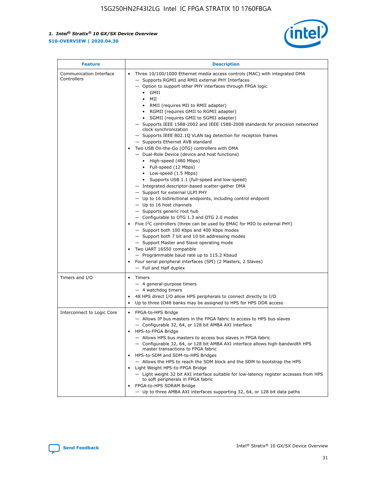

| <b>Feature</b>                         | <b>Description</b>                                                                                                                                                                                                                                                                                                                                                                                                                                                                                                                                                                                                                                                                                                                                                                                                                                                                                                                                                                                                                                                                                                                                                                                                                                                                                                                                                                                                                                                                                                     |
|----------------------------------------|------------------------------------------------------------------------------------------------------------------------------------------------------------------------------------------------------------------------------------------------------------------------------------------------------------------------------------------------------------------------------------------------------------------------------------------------------------------------------------------------------------------------------------------------------------------------------------------------------------------------------------------------------------------------------------------------------------------------------------------------------------------------------------------------------------------------------------------------------------------------------------------------------------------------------------------------------------------------------------------------------------------------------------------------------------------------------------------------------------------------------------------------------------------------------------------------------------------------------------------------------------------------------------------------------------------------------------------------------------------------------------------------------------------------------------------------------------------------------------------------------------------------|
| Communication Interface<br>Controllers | Three 10/100/1000 Ethernet media access controls (MAC) with integrated DMA<br>$\bullet$<br>- Supports RGMII and RMII external PHY Interfaces<br>- Option to support other PHY interfaces through FPGA logic<br>$\bullet$ GMII<br>MII<br>$\bullet$<br>RMII (requires MII to RMII adapter)<br>$\bullet$<br>• RGMII (requires GMII to RGMII adapter)<br>SGMII (requires GMII to SGMII adapter)<br>- Supports IEEE 1588-2002 and IEEE 1588-2008 standards for precision networked<br>clock synchronization<br>- Supports IEEE 802.1Q VLAN tag detection for reception frames<br>- Supports Ethernet AVB standard<br>Two USB On-the-Go (OTG) controllers with DMA<br>- Dual-Role Device (device and host functions)<br>• High-speed (480 Mbps)<br>• Full-speed (12 Mbps)<br>• Low-speed (1.5 Mbps)<br>• Supports USB 1.1 (full-speed and low-speed)<br>- Integrated descriptor-based scatter-gather DMA<br>- Support for external ULPI PHY<br>- Up to 16 bidirectional endpoints, including control endpoint<br>$-$ Up to 16 host channels<br>- Supports generic root hub<br>- Configurable to OTG 1.3 and OTG 2.0 modes<br>Five $I2C$ controllers (three can be used by EMAC for MIO to external PHY)<br>- Support both 100 Kbps and 400 Kbps modes<br>- Support both 7 bit and 10 bit addressing modes<br>- Support Master and Slave operating mode<br>Two UART 16550 compatible<br>- Programmable baud rate up to 115.2 Kbaud<br>Four serial peripheral interfaces (SPI) (2 Masters, 2 Slaves)<br>- Full and Half duplex |
| Timers and I/O                         | Timers<br>$\bullet$<br>- 4 general-purpose timers<br>$-4$ watchdog timers<br>48 HPS direct I/O allow HPS peripherals to connect directly to I/O<br>Up to three IO48 banks may be assigned to HPS for HPS DDR access                                                                                                                                                                                                                                                                                                                                                                                                                                                                                                                                                                                                                                                                                                                                                                                                                                                                                                                                                                                                                                                                                                                                                                                                                                                                                                    |
| Interconnect to Logic Core             | • FPGA-to-HPS Bridge<br>- Allows IP bus masters in the FPGA fabric to access to HPS bus slaves<br>- Configurable 32, 64, or 128 bit AMBA AXI interface<br>HPS-to-FPGA Bridge<br>- Allows HPS bus masters to access bus slaves in FPGA fabric<br>- Configurable 32, 64, or 128 bit AMBA AXI interface allows high-bandwidth HPS<br>master transactions to FPGA fabric<br>HPS-to-SDM and SDM-to-HPS Bridges<br>- Allows the HPS to reach the SDM block and the SDM to bootstrap the HPS<br>Light Weight HPS-to-FPGA Bridge<br>- Light weight 32 bit AXI interface suitable for low-latency register accesses from HPS<br>to soft peripherals in FPGA fabric<br>FPGA-to-HPS SDRAM Bridge<br>- Up to three AMBA AXI interfaces supporting 32, 64, or 128 bit data paths                                                                                                                                                                                                                                                                                                                                                                                                                                                                                                                                                                                                                                                                                                                                                    |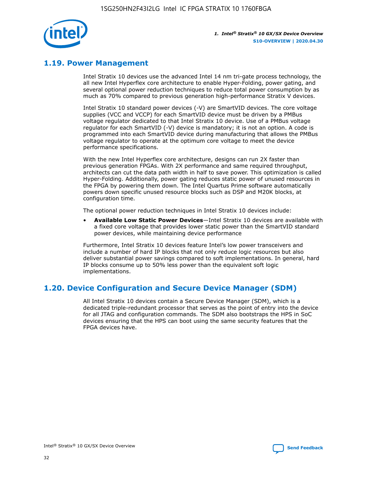

# **1.19. Power Management**

Intel Stratix 10 devices use the advanced Intel 14 nm tri-gate process technology, the all new Intel Hyperflex core architecture to enable Hyper-Folding, power gating, and several optional power reduction techniques to reduce total power consumption by as much as 70% compared to previous generation high-performance Stratix V devices.

Intel Stratix 10 standard power devices (-V) are SmartVID devices. The core voltage supplies (VCC and VCCP) for each SmartVID device must be driven by a PMBus voltage regulator dedicated to that Intel Stratix 10 device. Use of a PMBus voltage regulator for each SmartVID (-V) device is mandatory; it is not an option. A code is programmed into each SmartVID device during manufacturing that allows the PMBus voltage regulator to operate at the optimum core voltage to meet the device performance specifications.

With the new Intel Hyperflex core architecture, designs can run 2X faster than previous generation FPGAs. With 2X performance and same required throughput, architects can cut the data path width in half to save power. This optimization is called Hyper-Folding. Additionally, power gating reduces static power of unused resources in the FPGA by powering them down. The Intel Quartus Prime software automatically powers down specific unused resource blocks such as DSP and M20K blocks, at configuration time.

The optional power reduction techniques in Intel Stratix 10 devices include:

• **Available Low Static Power Devices**—Intel Stratix 10 devices are available with a fixed core voltage that provides lower static power than the SmartVID standard power devices, while maintaining device performance

Furthermore, Intel Stratix 10 devices feature Intel's low power transceivers and include a number of hard IP blocks that not only reduce logic resources but also deliver substantial power savings compared to soft implementations. In general, hard IP blocks consume up to 50% less power than the equivalent soft logic implementations.

# **1.20. Device Configuration and Secure Device Manager (SDM)**

All Intel Stratix 10 devices contain a Secure Device Manager (SDM), which is a dedicated triple-redundant processor that serves as the point of entry into the device for all JTAG and configuration commands. The SDM also bootstraps the HPS in SoC devices ensuring that the HPS can boot using the same security features that the FPGA devices have.

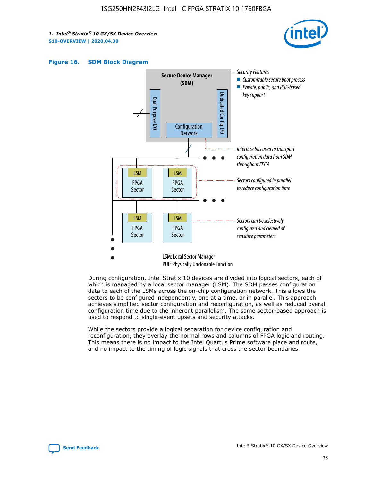





During configuration, Intel Stratix 10 devices are divided into logical sectors, each of which is managed by a local sector manager (LSM). The SDM passes configuration data to each of the LSMs across the on-chip configuration network. This allows the sectors to be configured independently, one at a time, or in parallel. This approach achieves simplified sector configuration and reconfiguration, as well as reduced overall configuration time due to the inherent parallelism. The same sector-based approach is used to respond to single-event upsets and security attacks.

While the sectors provide a logical separation for device configuration and reconfiguration, they overlay the normal rows and columns of FPGA logic and routing. This means there is no impact to the Intel Quartus Prime software place and route, and no impact to the timing of logic signals that cross the sector boundaries.

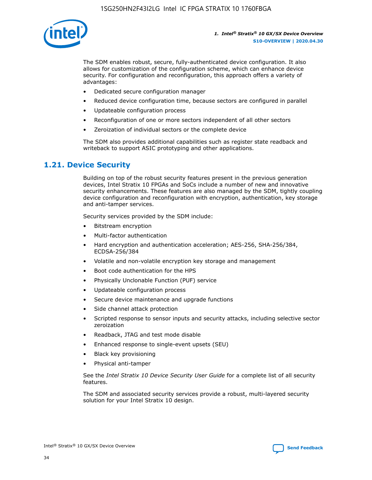

The SDM enables robust, secure, fully-authenticated device configuration. It also allows for customization of the configuration scheme, which can enhance device security. For configuration and reconfiguration, this approach offers a variety of advantages:

- Dedicated secure configuration manager
- Reduced device configuration time, because sectors are configured in parallel
- Updateable configuration process
- Reconfiguration of one or more sectors independent of all other sectors
- Zeroization of individual sectors or the complete device

The SDM also provides additional capabilities such as register state readback and writeback to support ASIC prototyping and other applications.

### **1.21. Device Security**

Building on top of the robust security features present in the previous generation devices, Intel Stratix 10 FPGAs and SoCs include a number of new and innovative security enhancements. These features are also managed by the SDM, tightly coupling device configuration and reconfiguration with encryption, authentication, key storage and anti-tamper services.

Security services provided by the SDM include:

- Bitstream encryption
- Multi-factor authentication
- Hard encryption and authentication acceleration; AES-256, SHA-256/384, ECDSA-256/384
- Volatile and non-volatile encryption key storage and management
- Boot code authentication for the HPS
- Physically Unclonable Function (PUF) service
- Updateable configuration process
- Secure device maintenance and upgrade functions
- Side channel attack protection
- Scripted response to sensor inputs and security attacks, including selective sector zeroization
- Readback, JTAG and test mode disable
- Enhanced response to single-event upsets (SEU)
- Black key provisioning
- Physical anti-tamper

See the *Intel Stratix 10 Device Security User Guide* for a complete list of all security features.

The SDM and associated security services provide a robust, multi-layered security solution for your Intel Stratix 10 design.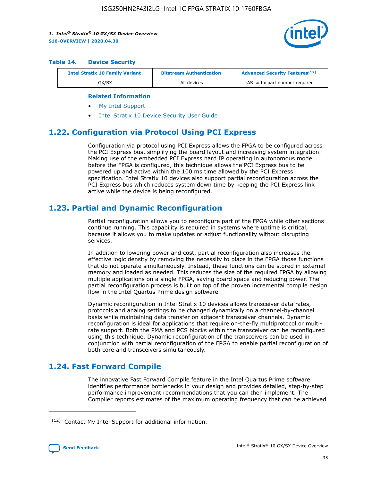

#### **Table 14. Device Security**

| <b>Intel Stratix 10 Family Variant</b> | <b>Bitstream Authentication</b> | <b>Advanced Security Features</b> <sup>(12)</sup> |
|----------------------------------------|---------------------------------|---------------------------------------------------|
| GX/SX                                  | All devices                     | -AS suffix part number required                   |

#### **Related Information**

- [My Intel Support](https://www.intel.com/content/www/us/en/programmable/my-intel/mal-home.html)
- [Intel Stratix 10 Device Security User Guide](https://www.intel.com/content/www/us/en/programmable/documentation/ndq1483601370898.html#wcd1483611014402)

### **1.22. Configuration via Protocol Using PCI Express**

Configuration via protocol using PCI Express allows the FPGA to be configured across the PCI Express bus, simplifying the board layout and increasing system integration. Making use of the embedded PCI Express hard IP operating in autonomous mode before the FPGA is configured, this technique allows the PCI Express bus to be powered up and active within the 100 ms time allowed by the PCI Express specification. Intel Stratix 10 devices also support partial reconfiguration across the PCI Express bus which reduces system down time by keeping the PCI Express link active while the device is being reconfigured.

### **1.23. Partial and Dynamic Reconfiguration**

Partial reconfiguration allows you to reconfigure part of the FPGA while other sections continue running. This capability is required in systems where uptime is critical, because it allows you to make updates or adjust functionality without disrupting services.

In addition to lowering power and cost, partial reconfiguration also increases the effective logic density by removing the necessity to place in the FPGA those functions that do not operate simultaneously. Instead, these functions can be stored in external memory and loaded as needed. This reduces the size of the required FPGA by allowing multiple applications on a single FPGA, saving board space and reducing power. The partial reconfiguration process is built on top of the proven incremental compile design flow in the Intel Quartus Prime design software

Dynamic reconfiguration in Intel Stratix 10 devices allows transceiver data rates, protocols and analog settings to be changed dynamically on a channel-by-channel basis while maintaining data transfer on adjacent transceiver channels. Dynamic reconfiguration is ideal for applications that require on-the-fly multiprotocol or multirate support. Both the PMA and PCS blocks within the transceiver can be reconfigured using this technique. Dynamic reconfiguration of the transceivers can be used in conjunction with partial reconfiguration of the FPGA to enable partial reconfiguration of both core and transceivers simultaneously.

# **1.24. Fast Forward Compile**

The innovative Fast Forward Compile feature in the Intel Quartus Prime software identifies performance bottlenecks in your design and provides detailed, step-by-step performance improvement recommendations that you can then implement. The Compiler reports estimates of the maximum operating frequency that can be achieved

<sup>(12)</sup> Contact My Intel Support for additional information.

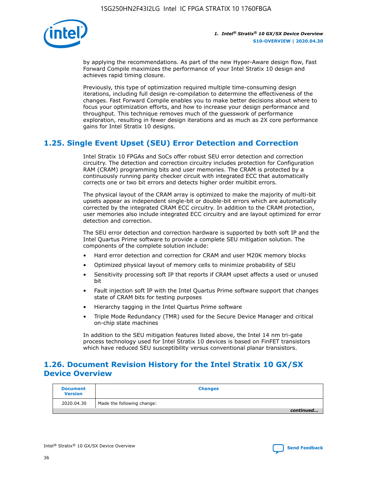

by applying the recommendations. As part of the new Hyper-Aware design flow, Fast Forward Compile maximizes the performance of your Intel Stratix 10 design and achieves rapid timing closure.

Previously, this type of optimization required multiple time-consuming design iterations, including full design re-compilation to determine the effectiveness of the changes. Fast Forward Compile enables you to make better decisions about where to focus your optimization efforts, and how to increase your design performance and throughput. This technique removes much of the guesswork of performance exploration, resulting in fewer design iterations and as much as 2X core performance gains for Intel Stratix 10 designs.

# **1.25. Single Event Upset (SEU) Error Detection and Correction**

Intel Stratix 10 FPGAs and SoCs offer robust SEU error detection and correction circuitry. The detection and correction circuitry includes protection for Configuration RAM (CRAM) programming bits and user memories. The CRAM is protected by a continuously running parity checker circuit with integrated ECC that automatically corrects one or two bit errors and detects higher order multibit errors.

The physical layout of the CRAM array is optimized to make the majority of multi-bit upsets appear as independent single-bit or double-bit errors which are automatically corrected by the integrated CRAM ECC circuitry. In addition to the CRAM protection, user memories also include integrated ECC circuitry and are layout optimized for error detection and correction.

The SEU error detection and correction hardware is supported by both soft IP and the Intel Quartus Prime software to provide a complete SEU mitigation solution. The components of the complete solution include:

- Hard error detection and correction for CRAM and user M20K memory blocks
- Optimized physical layout of memory cells to minimize probability of SEU
- Sensitivity processing soft IP that reports if CRAM upset affects a used or unused bit
- Fault injection soft IP with the Intel Quartus Prime software support that changes state of CRAM bits for testing purposes
- Hierarchy tagging in the Intel Quartus Prime software
- Triple Mode Redundancy (TMR) used for the Secure Device Manager and critical on-chip state machines

In addition to the SEU mitigation features listed above, the Intel 14 nm tri-gate process technology used for Intel Stratix 10 devices is based on FinFET transistors which have reduced SEU susceptibility versus conventional planar transistors.

# **1.26. Document Revision History for the Intel Stratix 10 GX/SX Device Overview**

| <b>Document</b><br><b>Version</b> | <b>Changes</b>             |
|-----------------------------------|----------------------------|
| 2020.04.30                        | Made the following change: |
|                                   | continued                  |

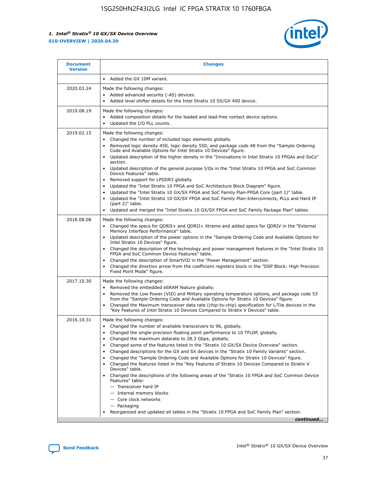

| <b>Document</b><br><b>Version</b> | <b>Changes</b>                                                                                                                                                                                                                                                                                                                                                                                                                                                                                                                                                                                                                                                                                                                                                                                                                                                                                                                                                                       |
|-----------------------------------|--------------------------------------------------------------------------------------------------------------------------------------------------------------------------------------------------------------------------------------------------------------------------------------------------------------------------------------------------------------------------------------------------------------------------------------------------------------------------------------------------------------------------------------------------------------------------------------------------------------------------------------------------------------------------------------------------------------------------------------------------------------------------------------------------------------------------------------------------------------------------------------------------------------------------------------------------------------------------------------|
|                                   | Added the GX 10M variant.                                                                                                                                                                                                                                                                                                                                                                                                                                                                                                                                                                                                                                                                                                                                                                                                                                                                                                                                                            |
| 2020.03.24                        | Made the following changes:<br>Added advanced security (-AS) devices.<br>Added level shifter details for the Intel Stratix 10 SX/GX 400 device.<br>$\bullet$                                                                                                                                                                                                                                                                                                                                                                                                                                                                                                                                                                                                                                                                                                                                                                                                                         |
| 2019.08.19                        | Made the following changes:<br>Added composition details for the leaded and lead-free contact device options.<br>Updated the I/O PLL counts.<br>$\bullet$                                                                                                                                                                                                                                                                                                                                                                                                                                                                                                                                                                                                                                                                                                                                                                                                                            |
| 2019.02.15                        | Made the following changes:<br>Changed the number of included logic elements globally.<br>Removed logic density 450, logic density 550, and package code 48 from the "Sample Ordering<br>$\bullet$<br>Code and Available Options for Intel Stratix 10 Devices" figure.<br>Updated description of the higher density in the "Innovations in Intel Stratix 10 FPGAs and SoCs"<br>section.<br>Updated description of the general purpose I/Os in the "Intel Stratix 10 FPGA and SoC Common<br>Device Features" table.<br>Removed support for LPDDR3 globally.<br>Updated the "Intel Stratix 10 FPGA and SoC Architecture Block Diagram" figure.<br>Updated the "Intel Stratix 10 GX/SX FPGA and SoC Family Plan-FPGA Core (part 1)" table.<br>Updated the "Intel Stratix 10 GX/SX FPGA and SoC Family Plan-Interconnects, PLLs and Hard IP<br>(part 2)" table.<br>Updated and merged the "Intel Stratix 10 GX/SX FPGA and SoC Family Package Plan" tables.                              |
| 2018.08.08                        | Made the following changes:<br>Changed the specs for QDRII+ and QDRII+ Xtreme and added specs for QDRIV in the "External<br>$\bullet$<br>Memory Interface Performance" table.<br>Updated description of the power options in the "Sample Ordering Code and Available Options for<br>Intel Stratix 10 Devices" figure.<br>Changed the description of the technology and power management features in the "Intel Stratix 10<br>FPGA and SoC Common Device Features" table.<br>Changed the description of SmartVID in the "Power Management" section.<br>Changed the direction arrow from the coefficient registers block in the "DSP Block: High Precision<br>Fixed Point Mode" figure.                                                                                                                                                                                                                                                                                                |
| 2017.10.30                        | Made the following changes:<br>Removed the embedded eSRAM feature globally.<br>$\bullet$<br>Removed the Low Power (VID) and Military operating temperature options, and package code 53<br>from the "Sample Ordering Code and Available Options for Stratix 10 Devices" figure.<br>Changed the Maximum transceiver data rate (chip-to-chip) specification for L-Tile devices in the<br>"Key Features of Intel Stratix 10 Devices Compared to Stratix V Devices" table.                                                                                                                                                                                                                                                                                                                                                                                                                                                                                                               |
| 2016.10.31                        | Made the following changes:<br>• Changed the number of available transceivers to 96, globally.<br>Changed the single-precision floating point performance to 10 TFLOP, globally.<br>Changed the maximum datarate to 28.3 Gbps, globally.<br>٠<br>Changed some of the features listed in the "Stratix 10 GX/SX Device Overview" section.<br>Changed descriptions for the GX and SX devices in the "Stratix 10 Family Variants" section.<br>٠<br>Changed the "Sample Ordering Code and Available Options for Stratix 10 Devices" figure.<br>Changed the features listed in the "Key Features of Stratix 10 Devices Compared to Stratix V<br>Devices" table.<br>Changed the descriptions of the following areas of the "Stratix 10 FPGA and SoC Common Device<br>Features" table:<br>- Transceiver hard IP<br>- Internal memory blocks<br>- Core clock networks<br>- Packaging<br>Reorganized and updated all tables in the "Stratix 10 FPGA and SoC Family Plan" section.<br>continued |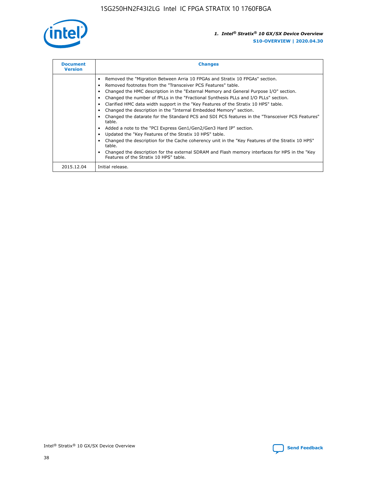

| <b>Document</b><br><b>Version</b> | <b>Changes</b>                                                                                                                                                                                                                                                                                                                                                                                                                                                                                                                                                                                                                                                                                                                                                                                                                                                                                                                                                                                     |
|-----------------------------------|----------------------------------------------------------------------------------------------------------------------------------------------------------------------------------------------------------------------------------------------------------------------------------------------------------------------------------------------------------------------------------------------------------------------------------------------------------------------------------------------------------------------------------------------------------------------------------------------------------------------------------------------------------------------------------------------------------------------------------------------------------------------------------------------------------------------------------------------------------------------------------------------------------------------------------------------------------------------------------------------------|
|                                   | Removed the "Migration Between Arria 10 FPGAs and Stratix 10 FPGAs" section.<br>Removed footnotes from the "Transceiver PCS Features" table.<br>Changed the HMC description in the "External Memory and General Purpose I/O" section.<br>Changed the number of fPLLs in the "Fractional Synthesis PLLs and I/O PLLs" section.<br>Clarified HMC data width support in the "Key Features of the Stratix 10 HPS" table.<br>Changed the description in the "Internal Embedded Memory" section.<br>Changed the datarate for the Standard PCS and SDI PCS features in the "Transceiver PCS Features"<br>table.<br>Added a note to the "PCI Express Gen1/Gen2/Gen3 Hard IP" section.<br>Updated the "Key Features of the Stratix 10 HPS" table.<br>Changed the description for the Cache coherency unit in the "Key Features of the Stratix 10 HPS"<br>table.<br>Changed the description for the external SDRAM and Flash memory interfaces for HPS in the "Key<br>Features of the Stratix 10 HPS" table. |
| 2015.12.04                        | Initial release.                                                                                                                                                                                                                                                                                                                                                                                                                                                                                                                                                                                                                                                                                                                                                                                                                                                                                                                                                                                   |